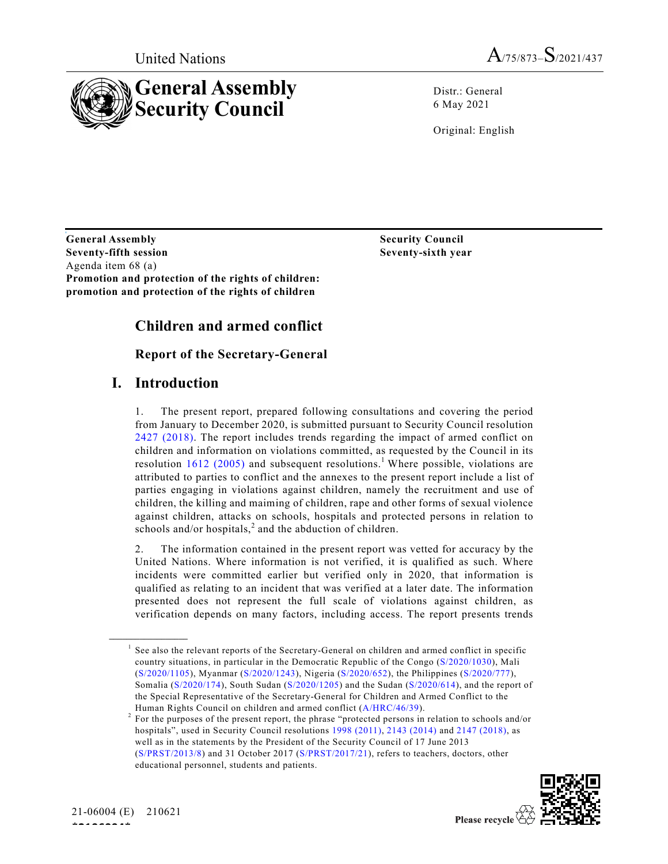



Distr.: General 6 May 2021

Original: English

**General Assembly Security Council Seventy-fifth session Seventy-sixth year** Agenda item 68 (a) **Promotion and protection of the rights of children: promotion and protection of the rights of children**

# **Children and armed conflict**

# **Report of the Secretary-General**

# **I. Introduction**

1. The present report, prepared following consultations and covering the period from January to December 2020, is submitted pursuant to Security Council resolution 2427 (2018). The report includes trends regarding the impact of armed conflict on children and information on violations committed, as requested by the Council in its resolution 1612 (2005) and subsequent resolutions.<sup>1</sup> Where possible, violations are attributed to parties to conflict and the annexes to the present report include a list of parties engaging in violations against children, namely the recruitment and use of children, the killing and maiming of children, rape and other forms of sexual violence against children, attacks on schools, hospitals and protected persons in relation to schools and/or hospitals, $<sup>2</sup>$  and the abduction of children.</sup>

2. The information contained in the present report was vetted for accuracy by the United Nations. Where information is not verified, it is qualified as such. Where incidents were committed earlier but verified only in 2020, that information is qualified as relating to an incident that was verified at a later date. The information presented does not represent the full scale of violations against children, as verification depends on many factors, including access. The report presents trends

<sup>2</sup> For the purposes of the present report, the phrase "protected persons in relation to schools and/or hospitals", used in Security Council resolutions 1998 (2011), 2143 (2014) and 2147 (2018), as well as in the statements by the President of the Security Council of 17 June 2013 (S/PRST/2013/8) and 31 October 2017 (S/PRST/2017/21), refers to teachers, doctors, other educational personnel, students and patients.



**\_\_\_\_\_\_\_\_\_\_\_\_\_\_\_\_\_\_**

 $<sup>1</sup>$  See also the relevant reports of the Secretary-General on children and armed conflict in specific</sup> country situations, in particular in the Democratic Republic of the Congo (S/2020/1030), Mali (S/2020/1105), Myanmar (S/2020/1243), Nigeria (S/2020/652), the Philippines (S/2020/777), Somalia (S/2020/174), South Sudan (S/2020/1205) and the Sudan (S/2020/614), and the report of the Special Representative of the Secretary-General for Children and Armed Conflict to the Human Rights Council on children and armed conflict (A/HRC/46/39).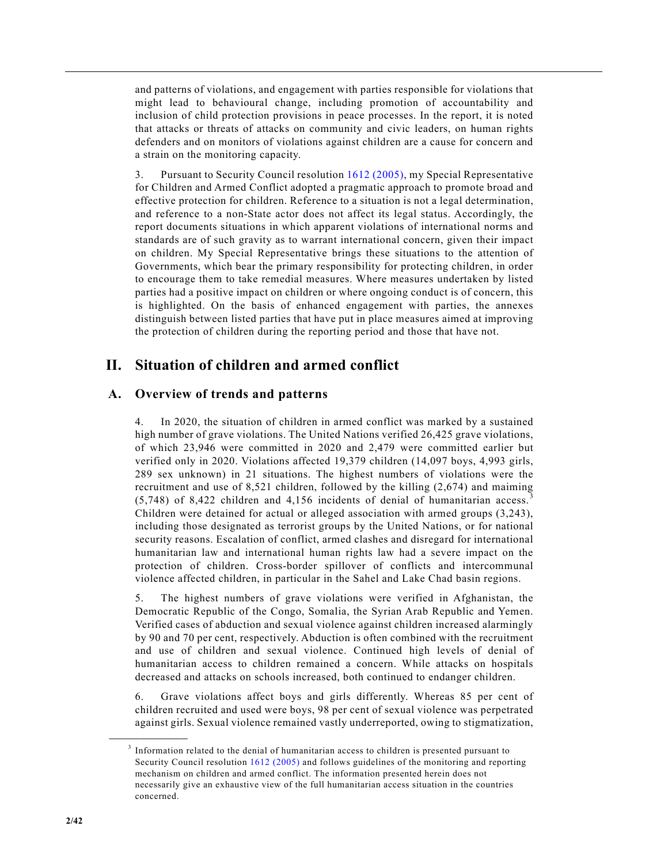and patterns of violations, and engagement with parties responsible for violations that might lead to behavioural change, including promotion of accountability and inclusion of child protection provisions in peace processes. In the report, it is noted that attacks or threats of attacks on community and civic leaders, on human rights defenders and on monitors of violations against children are a cause for concern and a strain on the monitoring capacity.

3. Pursuant to Security Council resolution 1612 (2005), my Special Representative for Children and Armed Conflict adopted a pragmatic approach to promote broad and effective protection for children. Reference to a situation is not a legal determination, and reference to a non-State actor does not affect its legal status. Accordingly, the report documents situations in which apparent violations of international norms and standards are of such gravity as to warrant international concern, given their impact on children. My Special Representative brings these situations to the attention of Governments, which bear the primary responsibility for protecting children, in order to encourage them to take remedial measures. Where measures undertaken by listed parties had a positive impact on children or where ongoing conduct is of concern, this is highlighted. On the basis of enhanced engagement with parties, the annexes distinguish between listed parties that have put in place measures aimed at improving the protection of children during the reporting period and those that have not.

# **II. Situation of children and armed conflict**

# **A. Overview of trends and patterns**

4. In 2020, the situation of children in armed conflict was marked by a sustained high number of grave violations. The United Nations verified 26,425 grave violations, of which 23,946 were committed in 2020 and 2,479 were committed earlier but verified only in 2020. Violations affected 19,379 children (14,097 boys, 4,993 girls, 289 sex unknown) in 21 situations. The highest numbers of violations were the recruitment and use of 8,521 children, followed by the killing (2,674) and maiming  $(5,748)$  of 8,422 children and 4,156 incidents of denial of humanitarian access. Children were detained for actual or alleged association with armed groups (3,243), including those designated as terrorist groups by the United Nations, or for national security reasons. Escalation of conflict, armed clashes and disregard for international humanitarian law and international human rights law had a severe impact on the protection of children. Cross-border spillover of conflicts and intercommunal violence affected children, in particular in the Sahel and Lake Chad basin regions.

5. The highest numbers of grave violations were verified in Afghanistan, the Democratic Republic of the Congo, Somalia, the Syrian Arab Republic and Yemen. Verified cases of abduction and sexual violence against children increased alarmingly by 90 and 70 per cent, respectively. Abduction is often combined with the recruitment and use of children and sexual violence. Continued high levels of denial of humanitarian access to children remained a concern. While attacks on hospitals decreased and attacks on schools increased, both continued to endanger children.

6. Grave violations affect boys and girls differently. Whereas 85 per cent of children recruited and used were boys, 98 per cent of sexual violence was perpetrated against girls. Sexual violence remained vastly underreported, owing to stigmatization,

**\_\_\_\_\_\_\_\_\_\_\_\_\_\_\_\_\_\_**

<sup>&</sup>lt;sup>3</sup> Information related to the denial of humanitarian access to children is presented pursuant to Security Council resolution 1612 (2005) and follows guidelines of the monitoring and reporting mechanism on children and armed conflict. The information presented herein does not necessarily give an exhaustive view of the full humanitarian access situation in the countries concerned.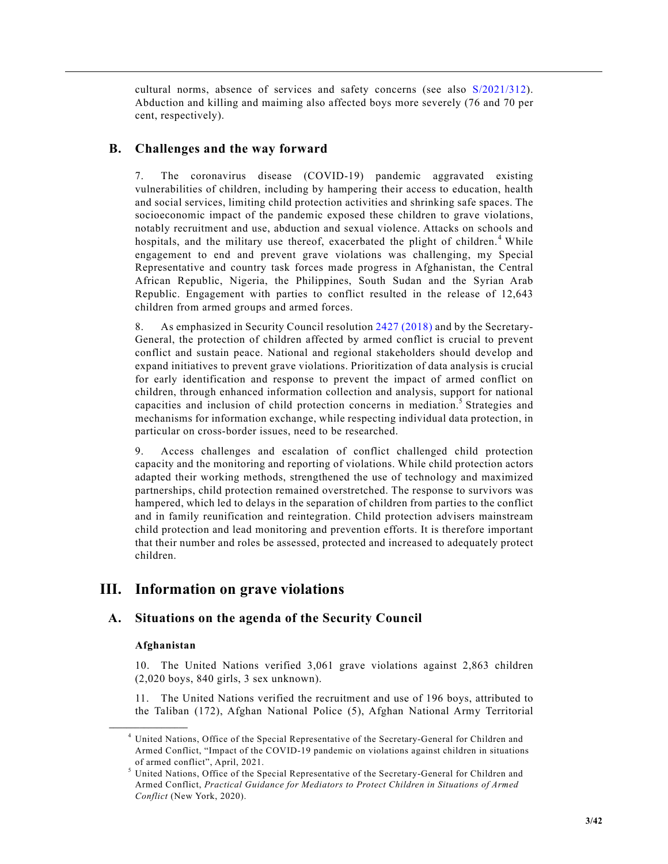cultural norms, absence of services and safety concerns (see also S/2021/312). Abduction and killing and maiming also affected boys more severely (76 and 70 per cent, respectively).

# **B. Challenges and the way forward**

7. The coronavirus disease (COVID-19) pandemic aggravated existing vulnerabilities of children, including by hampering their access to education, health and social services, limiting child protection activities and shrinking safe spaces. The socioeconomic impact of the pandemic exposed these children to grave violations, notably recruitment and use, abduction and sexual violence. Attacks on schools and hospitals, and the military use thereof, exacerbated the plight of children.<sup>4</sup> While engagement to end and prevent grave violations was challenging, my Special Representative and country task forces made progress in Afghanistan, the Central African Republic, Nigeria, the Philippines, South Sudan and the Syrian Arab Republic. Engagement with parties to conflict resulted in the release of 12,643 children from armed groups and armed forces.

8. As emphasized in Security Council resolution 2427 (2018) and by the Secretary-General, the protection of children affected by armed conflict is crucial to prevent conflict and sustain peace. National and regional stakeholders should develop and expand initiatives to prevent grave violations. Prioritization of data analysis is crucial for early identification and response to prevent the impact of armed conflict on children, through enhanced information collection and analysis, support for national capacities and inclusion of child protection concerns in mediation.<sup>5</sup> Strategies and mechanisms for information exchange, while respecting individual data protection, in particular on cross-border issues, need to be researched.

9. Access challenges and escalation of conflict challenged child protection capacity and the monitoring and reporting of violations. While child protection actors adapted their working methods, strengthened the use of technology and maximized partnerships, child protection remained overstretched. The response to survivors was hampered, which led to delays in the separation of children from parties to the conflict and in family reunification and reintegration. Child protection advisers mainstream child protection and lead monitoring and prevention efforts. It is therefore important that their number and roles be assessed, protected and increased to adequately protect children.

# **III. Information on grave violations**

# **A. Situations on the agenda of the Security Council**

# **Afghanistan**

**\_\_\_\_\_\_\_\_\_\_\_\_\_\_\_\_\_\_**

10. The United Nations verified 3,061 grave violations against 2,863 children (2,020 boys, 840 girls, 3 sex unknown).

11. The United Nations verified the recruitment and use of 196 boys, attributed to the Taliban (172), Afghan National Police (5), Afghan National Army Territorial

<sup>4</sup> United Nations, Office of the Special Representative of the Secretary-General for Children and Armed Conflict, "Impact of the COVID-19 pandemic on violations against children in situations of armed conflict", April, 2021.

<sup>5</sup> United Nations, Office of the Special Representative of the Secretary-General for Children and Armed Conflict, *Practical Guidance for Mediators to Protect Children in Situations of Armed Conflict* (New York, 2020).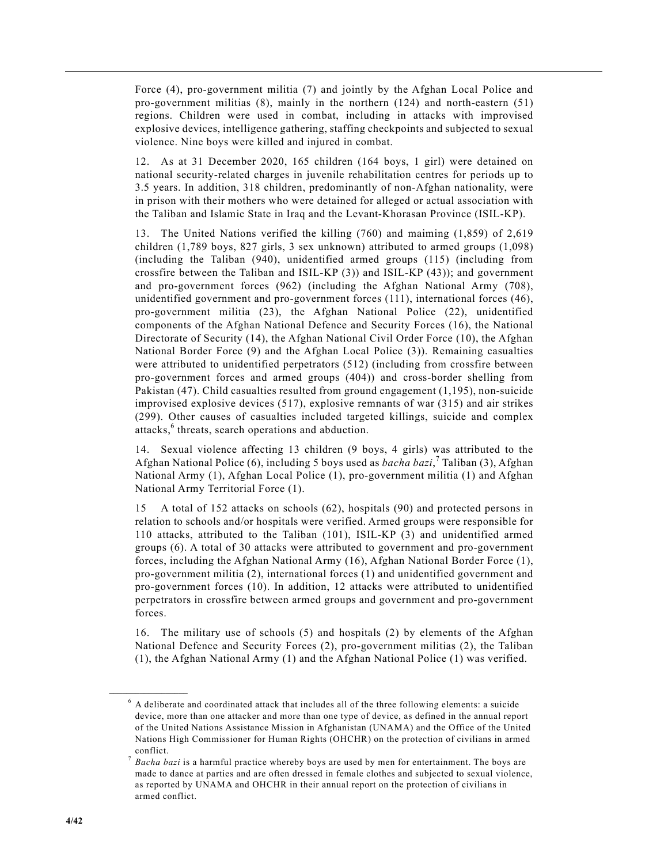Force (4), pro-government militia (7) and jointly by the Afghan Local Police and pro-government militias (8), mainly in the northern (124) and north-eastern (51) regions. Children were used in combat, including in attacks with improvised explosive devices, intelligence gathering, staffing checkpoints and subjected to sexual violence. Nine boys were killed and injured in combat.

12. As at 31 December 2020, 165 children (164 boys, 1 girl) were detained on national security-related charges in juvenile rehabilitation centres for periods up to 3.5 years. In addition, 318 children, predominantly of non-Afghan nationality, were in prison with their mothers who were detained for alleged or actual association with the Taliban and Islamic State in Iraq and the Levant-Khorasan Province (ISIL-KP).

13. The United Nations verified the killing (760) and maiming (1,859) of 2,619 children (1,789 boys, 827 girls, 3 sex unknown) attributed to armed groups (1,098) (including the Taliban (940), unidentified armed groups (115) (including from crossfire between the Taliban and ISIL-KP  $(3)$ ) and ISIL-KP  $(43)$ ); and government and pro-government forces (962) (including the Afghan National Army (708), unidentified government and pro-government forces (111), international forces (46), pro-government militia (23), the Afghan National Police (22), unidentified components of the Afghan National Defence and Security Forces (16), the National Directorate of Security (14), the Afghan National Civil Order Force (10), the Afghan National Border Force (9) and the Afghan Local Police (3)). Remaining casualties were attributed to unidentified perpetrators (512) (including from crossfire between pro-government forces and armed groups (404)) and cross-border shelling from Pakistan (47). Child casualties resulted from ground engagement (1,195), non-suicide improvised explosive devices (517), explosive remnants of war (315) and air strikes (299). Other causes of casualties included targeted killings, suicide and complex attacks,<sup>6</sup> threats, search operations and abduction.

14. Sexual violence affecting 13 children (9 boys, 4 girls) was attributed to the Afghan National Police (6), including 5 boys used as *bacha bazi*, <sup>7</sup> Taliban (3), Afghan National Army (1), Afghan Local Police (1), pro-government militia (1) and Afghan National Army Territorial Force (1).

15 A total of 152 attacks on schools (62), hospitals (90) and protected persons in relation to schools and/or hospitals were verified. Armed groups were responsible for 110 attacks, attributed to the Taliban (101), ISIL-KP (3) and unidentified armed groups (6). A total of 30 attacks were attributed to government and pro-government forces, including the Afghan National Army (16), Afghan National Border Force (1), pro-government militia (2), international forces (1) and unidentified government and pro-government forces (10). In addition, 12 attacks were attributed to unidentified perpetrators in crossfire between armed groups and government and pro-government forces.

16. The military use of schools (5) and hospitals (2) by elements of the Afghan National Defence and Security Forces (2), pro-government militias (2), the Taliban (1), the Afghan National Army (1) and the Afghan National Police (1) was verified.

**\_\_\_\_\_\_\_\_\_\_\_\_\_\_\_\_\_\_**

<sup>6</sup> A deliberate and coordinated attack that includes all of the three following elements: a suicide device, more than one attacker and more than one type of device, as defined in the annual report of the United Nations Assistance Mission in Afghanistan (UNAMA) and the Office of the United Nations High Commissioner for Human Rights (OHCHR) on the protection of civilians in armed conflict.

<sup>7</sup> *Bacha bazi* is a harmful practice whereby boys are used by men for entertainment. The boys are made to dance at parties and are often dressed in female clothes and subjected to sexual violence, as reported by UNAMA and OHCHR in their annual report on the protection of civilians in armed conflict.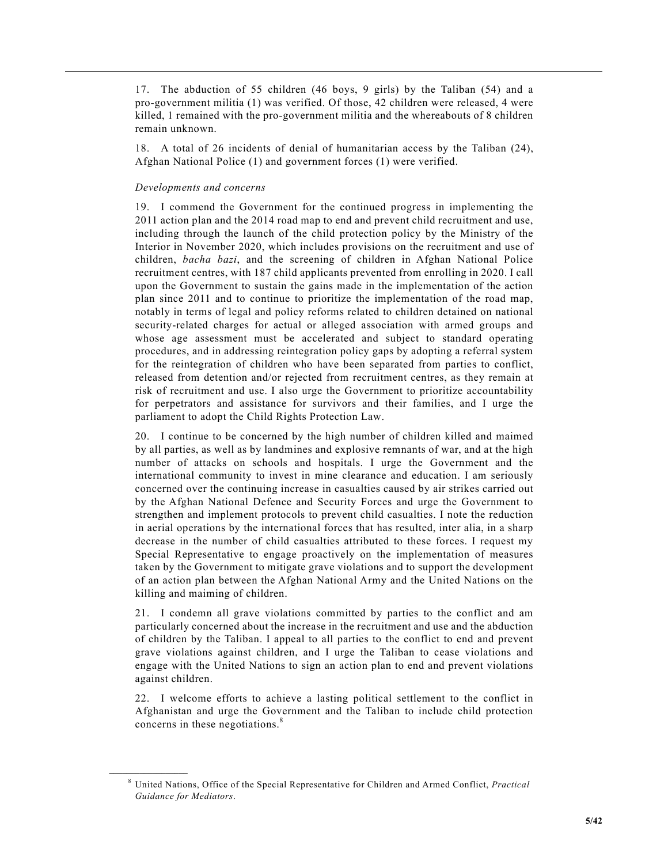17. The abduction of 55 children (46 boys, 9 girls) by the Taliban (54) and a pro-government militia (1) was verified. Of those, 42 children were released, 4 were killed, 1 remained with the pro-government militia and the whereabouts of 8 children remain unknown.

18. A total of 26 incidents of denial of humanitarian access by the Taliban (24), Afghan National Police (1) and government forces (1) were verified.

## *Developments and concerns*

**\_\_\_\_\_\_\_\_\_\_\_\_\_\_\_\_\_\_**

19. I commend the Government for the continued progress in implementing the 2011 action plan and the 2014 road map to end and prevent child recruitment and use, including through the launch of the child protection policy by the Ministry of the Interior in November 2020, which includes provisions on the recruitment and use of children, *bacha bazi*, and the screening of children in Afghan National Police recruitment centres, with 187 child applicants prevented from enrolling in 2020. I call upon the Government to sustain the gains made in the implementation of the action plan since 2011 and to continue to prioritize the implementation of the road map, notably in terms of legal and policy reforms related to children detained on national security-related charges for actual or alleged association with armed groups and whose age assessment must be accelerated and subject to standard operating procedures, and in addressing reintegration policy gaps by adopting a referral system for the reintegration of children who have been separated from parties to conflict, released from detention and/or rejected from recruitment centres, as they remain at risk of recruitment and use. I also urge the Government to prioritize accountability for perpetrators and assistance for survivors and their families, and I urge the parliament to adopt the Child Rights Protection Law.

20. I continue to be concerned by the high number of children killed and maimed by all parties, as well as by landmines and explosive remnants of war, and at the high number of attacks on schools and hospitals. I urge the Government and the international community to invest in mine clearance and education. I am seriously concerned over the continuing increase in casualties caused by air strikes carried out by the Afghan National Defence and Security Forces and urge the Government to strengthen and implement protocols to prevent child casualties. I note the reduction in aerial operations by the international forces that has resulted, inter alia, in a sharp decrease in the number of child casualties attributed to these forces. I request my Special Representative to engage proactively on the implementation of measures taken by the Government to mitigate grave violations and to support the development of an action plan between the Afghan National Army and the United Nations on the killing and maiming of children.

21. I condemn all grave violations committed by parties to the conflict and am particularly concerned about the increase in the recruitment and use and the abduction of children by the Taliban. I appeal to all parties to the conflict to end and prevent grave violations against children, and I urge the Taliban to cease violations and engage with the United Nations to sign an action plan to end and prevent violations against children.

22. I welcome efforts to achieve a lasting political settlement to the conflict in Afghanistan and urge the Government and the Taliban to include child protection concerns in these negotiations.<sup>8</sup>

<sup>8</sup> United Nations, Office of the Special Representative for Children and Armed Conflict, *Practical Guidance for Mediators*.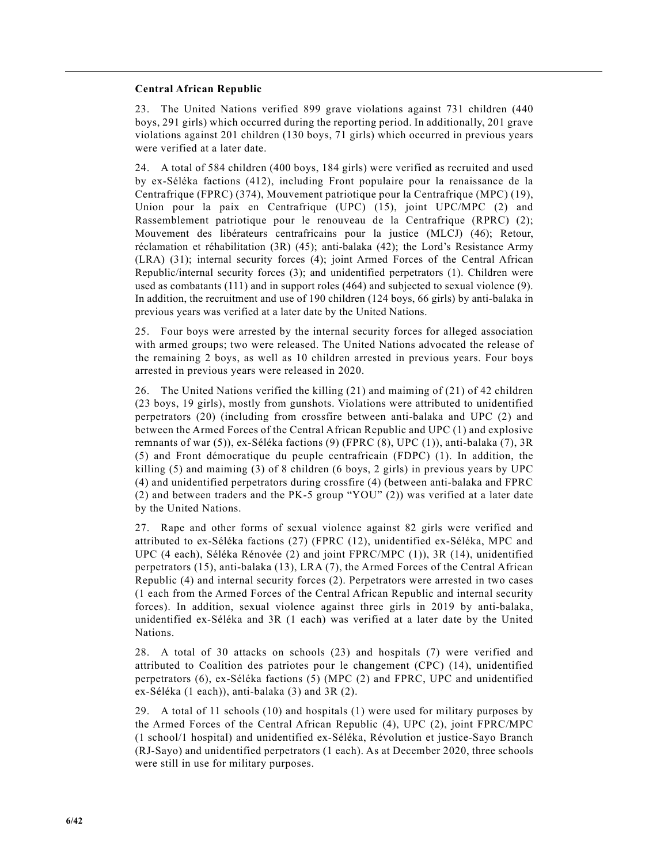#### **Central African Republic**

23. The United Nations verified 899 grave violations against 731 children (440 boys, 291 girls) which occurred during the reporting period. In additionally, 201 grave violations against 201 children (130 boys, 71 girls) which occurred in previous years were verified at a later date.

24. A total of 584 children (400 boys, 184 girls) were verified as recruited and used by ex-Séléka factions (412), including Front populaire pour la renaissance de la Centrafrique (FPRC) (374), Mouvement patriotique pour la Centrafrique (MPC) (19), Union pour la paix en Centrafrique (UPC) (15), joint UPC/MPC (2) and Rassemblement patriotique pour le renouveau de la Centrafrique (RPRC) (2); Mouvement des libérateurs centrafricains pour la justice (MLCJ) (46); Retour, réclamation et réhabilitation (3R) (45); anti-balaka (42); the Lord's Resistance Army (LRA) (31); internal security forces (4); joint Armed Forces of the Central African Republic/internal security forces (3); and unidentified perpetrators (1). Children were used as combatants (111) and in support roles (464) and subjected to sexual violence (9). In addition, the recruitment and use of 190 children (124 boys, 66 girls) by anti-balaka in previous years was verified at a later date by the United Nations.

25. Four boys were arrested by the internal security forces for alleged association with armed groups; two were released. The United Nations advocated the release of the remaining 2 boys, as well as 10 children arrested in previous years. Four boys arrested in previous years were released in 2020.

26. The United Nations verified the killing (21) and maiming of (21) of 42 children (23 boys, 19 girls), mostly from gunshots. Violations were attributed to unidentified perpetrators (20) (including from crossfire between anti-balaka and UPC (2) and between the Armed Forces of the Central African Republic and UPC (1) and explosive remnants of war (5)), ex-Séléka factions (9) (FPRC (8), UPC (1)), anti-balaka (7), 3R (5) and Front démocratique du peuple centrafricain (FDPC) (1). In addition, the killing (5) and maiming (3) of 8 children (6 boys, 2 girls) in previous years by UPC (4) and unidentified perpetrators during crossfire (4) (between anti-balaka and FPRC (2) and between traders and the PK-5 group "YOU" (2)) was verified at a later date by the United Nations.

27. Rape and other forms of sexual violence against 82 girls were verified and attributed to ex-Séléka factions (27) (FPRC (12), unidentified ex-Séléka, MPC and UPC (4 each), Séléka Rénovée (2) and joint FPRC/MPC (1)), 3R (14), unidentified perpetrators (15), anti-balaka (13), LRA (7), the Armed Forces of the Central African Republic (4) and internal security forces (2). Perpetrators were arrested in two cases (1 each from the Armed Forces of the Central African Republic and internal security forces). In addition, sexual violence against three girls in 2019 by anti-balaka, unidentified ex-Séléka and 3R (1 each) was verified at a later date by the United Nations.

28. A total of 30 attacks on schools (23) and hospitals (7) were verified and attributed to Coalition des patriotes pour le changement (CPC) (14), unidentified perpetrators (6), ex-Séléka factions (5) (MPC (2) and FPRC, UPC and unidentified ex-Séléka (1 each)), anti-balaka (3) and 3R (2).

29. A total of 11 schools (10) and hospitals (1) were used for military purposes by the Armed Forces of the Central African Republic (4), UPC (2), joint FPRC/MPC (1 school/1 hospital) and unidentified ex-Séléka, Révolution et justice-Sayo Branch (RJ-Sayo) and unidentified perpetrators (1 each). As at December 2020, three schools were still in use for military purposes.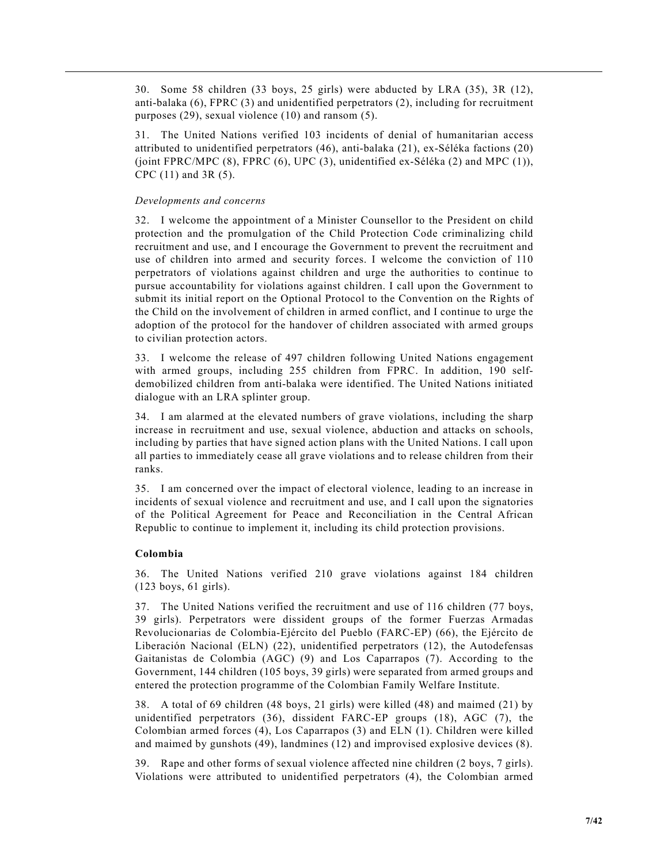30. Some 58 children (33 boys, 25 girls) were abducted by LRA (35), 3R (12), anti-balaka (6), FPRC (3) and unidentified perpetrators (2), including for recruitment purposes (29), sexual violence (10) and ransom (5).

31. The United Nations verified 103 incidents of denial of humanitarian access attributed to unidentified perpetrators (46), anti-balaka (21), ex-Séléka factions (20) (joint FPRC/MPC (8), FPRC (6), UPC (3), unidentified ex-Séléka (2) and MPC (1)), CPC (11) and 3R (5).

#### *Developments and concerns*

32. I welcome the appointment of a Minister Counsellor to the President on child protection and the promulgation of the Child Protection Code criminalizing child recruitment and use, and I encourage the Government to prevent the recruitment and use of children into armed and security forces. I welcome the conviction of 110 perpetrators of violations against children and urge the authorities to continue to pursue accountability for violations against children. I call upon the Government to submit its initial report on the Optional Protocol to the Convention on the Rights of the Child on the involvement of children in armed conflict, and I continue to urge the adoption of the protocol for the handover of children associated with armed groups to civilian protection actors.

33. I welcome the release of 497 children following United Nations engagement with armed groups, including 255 children from FPRC. In addition, 190 selfdemobilized children from anti-balaka were identified. The United Nations initiated dialogue with an LRA splinter group.

34. I am alarmed at the elevated numbers of grave violations, including the sharp increase in recruitment and use, sexual violence, abduction and attacks on schools, including by parties that have signed action plans with the United Nations. I call upon all parties to immediately cease all grave violations and to release children from their ranks.

35. I am concerned over the impact of electoral violence, leading to an increase in incidents of sexual violence and recruitment and use, and I call upon the signatories of the Political Agreement for Peace and Reconciliation in the Central African Republic to continue to implement it, including its child protection provisions.

#### **Colombia**

36. The United Nations verified 210 grave violations against 184 children (123 boys, 61 girls).

37. The United Nations verified the recruitment and use of 116 children (77 boys, 39 girls). Perpetrators were dissident groups of the former Fuerzas Armadas Revolucionarias de Colombia-Ejército del Pueblo (FARC-EP) (66), the Ejército de Liberación Nacional (ELN) (22), unidentified perpetrators (12), the Autodefensas Gaitanistas de Colombia (AGC) (9) and Los Caparrapos (7). According to the Government, 144 children (105 boys, 39 girls) were separated from armed groups and entered the protection programme of the Colombian Family Welfare Institute.

38. A total of 69 children (48 boys, 21 girls) were killed (48) and maimed (21) by unidentified perpetrators (36), dissident FARC-EP groups (18), AGC (7), the Colombian armed forces (4), Los Caparrapos (3) and ELN (1). Children were killed and maimed by gunshots (49), landmines (12) and improvised explosive devices (8).

39. Rape and other forms of sexual violence affected nine children (2 boys, 7 girls). Violations were attributed to unidentified perpetrators (4), the Colombian armed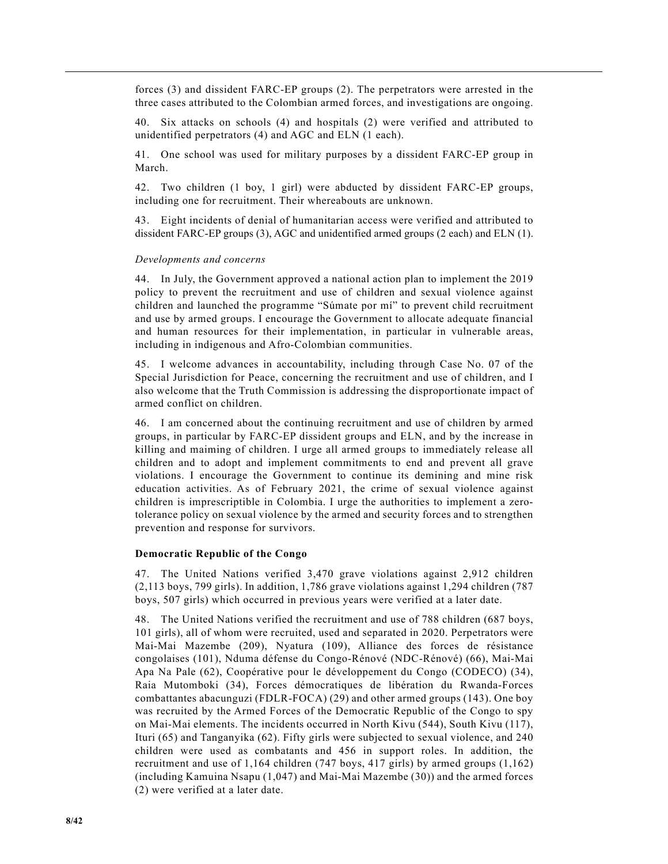forces (3) and dissident FARC-EP groups (2). The perpetrators were arrested in the three cases attributed to the Colombian armed forces, and investigations are ongoing.

40. Six attacks on schools (4) and hospitals (2) were verified and attributed to unidentified perpetrators (4) and AGC and ELN (1 each).

41. One school was used for military purposes by a dissident FARC-EP group in March.

42. Two children (1 boy, 1 girl) were abducted by dissident FARC-EP groups, including one for recruitment. Their whereabouts are unknown.

43. Eight incidents of denial of humanitarian access were verified and attributed to dissident FARC-EP groups (3), AGC and unidentified armed groups (2 each) and ELN (1).

#### *Developments and concerns*

44. In July, the Government approved a national action plan to implement the 2019 policy to prevent the recruitment and use of children and sexual violence against children and launched the programme "Súmate por mí" to prevent child recruitment and use by armed groups. I encourage the Government to allocate adequate financial and human resources for their implementation, in particular in vulnerable areas, including in indigenous and Afro-Colombian communities.

45. I welcome advances in accountability, including through Case No. 07 of the Special Jurisdiction for Peace, concerning the recruitment and use of children, and I also welcome that the Truth Commission is addressing the disproportionate impact of armed conflict on children.

46. I am concerned about the continuing recruitment and use of children by armed groups, in particular by FARC-EP dissident groups and ELN, and by the increase in killing and maiming of children. I urge all armed groups to immediately release all children and to adopt and implement commitments to end and prevent all grave violations. I encourage the Government to continue its demining and mine risk education activities. As of February 2021, the crime of sexual violence against children is imprescriptible in Colombia. I urge the authorities to implement a zerotolerance policy on sexual violence by the armed and security forces and to strengthen prevention and response for survivors.

#### **Democratic Republic of the Congo**

47. The United Nations verified 3,470 grave violations against 2,912 children (2,113 boys, 799 girls). In addition, 1,786 grave violations against 1,294 children (787 boys, 507 girls) which occurred in previous years were verified at a later date.

48. The United Nations verified the recruitment and use of 788 children (687 boys, 101 girls), all of whom were recruited, used and separated in 2020. Perpetrators were Mai-Mai Mazembe (209), Nyatura (109), Alliance des forces de résistance congolaises (101), Nduma défense du Congo-Rénové (NDC-Rénové) (66), Mai-Mai Apa Na Pale (62), Coopérative pour le développement du Congo (CODECO) (34), Raia Mutomboki (34), Forces démocratiques de libération du Rwanda-Forces combattantes abacunguzi (FDLR-FOCA) (29) and other armed groups (143). One boy was recruited by the Armed Forces of the Democratic Republic of the Congo to spy on Mai-Mai elements. The incidents occurred in North Kivu (544), South Kivu (117), Ituri (65) and Tanganyika (62). Fifty girls were subjected to sexual violence, and 240 children were used as combatants and 456 in support roles. In addition, the recruitment and use of 1,164 children (747 boys, 417 girls) by armed groups (1,162) (including Kamuina Nsapu (1,047) and Mai-Mai Mazembe (30)) and the armed forces (2) were verified at a later date.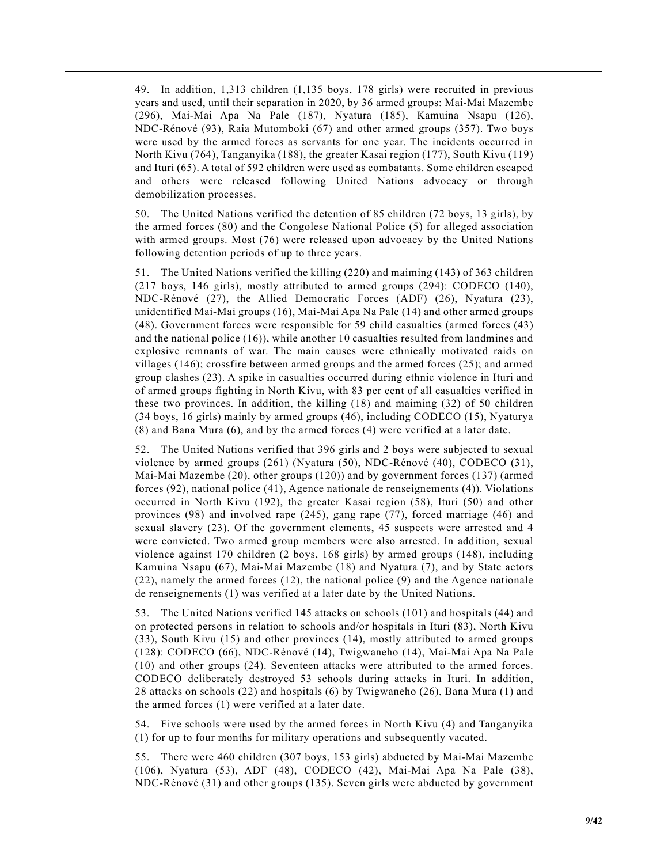49. In addition, 1,313 children (1,135 boys, 178 girls) were recruited in previous years and used, until their separation in 2020, by 36 armed groups: Mai-Mai Mazembe (296), Mai-Mai Apa Na Pale (187), Nyatura (185), Kamuina Nsapu (126), NDC-Rénové (93), Raia Mutomboki (67) and other armed groups (357). Two boys were used by the armed forces as servants for one year. The incidents occurred in North Kivu (764), Tanganyika (188), the greater Kasai region (177), South Kivu (119) and Ituri (65). A total of 592 children were used as combatants. Some children escaped and others were released following United Nations advocacy or through demobilization processes.

50. The United Nations verified the detention of 85 children (72 boys, 13 girls), by the armed forces (80) and the Congolese National Police (5) for alleged association with armed groups. Most (76) were released upon advocacy by the United Nations following detention periods of up to three years.

51. The United Nations verified the killing (220) and maiming (143) of 363 children (217 boys, 146 girls), mostly attributed to armed groups (294): CODECO (140), NDC-Rénové (27), the Allied Democratic Forces (ADF) (26), Nyatura (23), unidentified Mai-Mai groups (16), Mai-Mai Apa Na Pale (14) and other armed groups (48). Government forces were responsible for 59 child casualties (armed forces (43) and the national police (16)), while another 10 casualties resulted from landmines and explosive remnants of war. The main causes were ethnically motivated raids on villages (146); crossfire between armed groups and the armed forces (25); and armed group clashes (23). A spike in casualties occurred during ethnic violence in Ituri and of armed groups fighting in North Kivu, with 83 per cent of all casualties verified in these two provinces. In addition, the killing (18) and maiming (32) of 50 children (34 boys, 16 girls) mainly by armed groups (46), including CODECO (15), Nyaturya (8) and Bana Mura (6), and by the armed forces (4) were verified at a later date.

52. The United Nations verified that 396 girls and 2 boys were subjected to sexual violence by armed groups (261) (Nyatura (50), NDC-Rénové (40), CODECO (31), Mai-Mai Mazembe (20), other groups (120)) and by government forces (137) (armed forces (92), national police (41), Agence nationale de renseignements (4)). Violations occurred in North Kivu (192), the greater Kasai region (58), Ituri (50) and other provinces (98) and involved rape (245), gang rape (77), forced marriage (46) and sexual slavery (23). Of the government elements, 45 suspects were arrested and 4 were convicted. Two armed group members were also arrested. In addition, sexual violence against 170 children (2 boys, 168 girls) by armed groups (148), including Kamuina Nsapu (67), Mai-Mai Mazembe (18) and Nyatura (7), and by State actors (22), namely the armed forces (12), the national police (9) and the Agence nationale de renseignements (1) was verified at a later date by the United Nations.

53. The United Nations verified 145 attacks on schools (101) and hospitals (44) and on protected persons in relation to schools and/or hospitals in Ituri (83), North Kivu (33), South Kivu (15) and other provinces (14), mostly attributed to armed groups (128): CODECO (66), NDC-Rénové (14), Twigwaneho (14), Mai-Mai Apa Na Pale (10) and other groups (24). Seventeen attacks were attributed to the armed forces. CODECO deliberately destroyed 53 schools during attacks in Ituri. In addition, 28 attacks on schools (22) and hospitals (6) by Twigwaneho (26), Bana Mura (1) and the armed forces (1) were verified at a later date.

54. Five schools were used by the armed forces in North Kivu (4) and Tanganyika (1) for up to four months for military operations and subsequently vacated.

55. There were 460 children (307 boys, 153 girls) abducted by Mai-Mai Mazembe (106), Nyatura (53), ADF (48), CODECO (42), Mai-Mai Apa Na Pale (38), NDC-Rénové (31) and other groups (135). Seven girls were abducted by government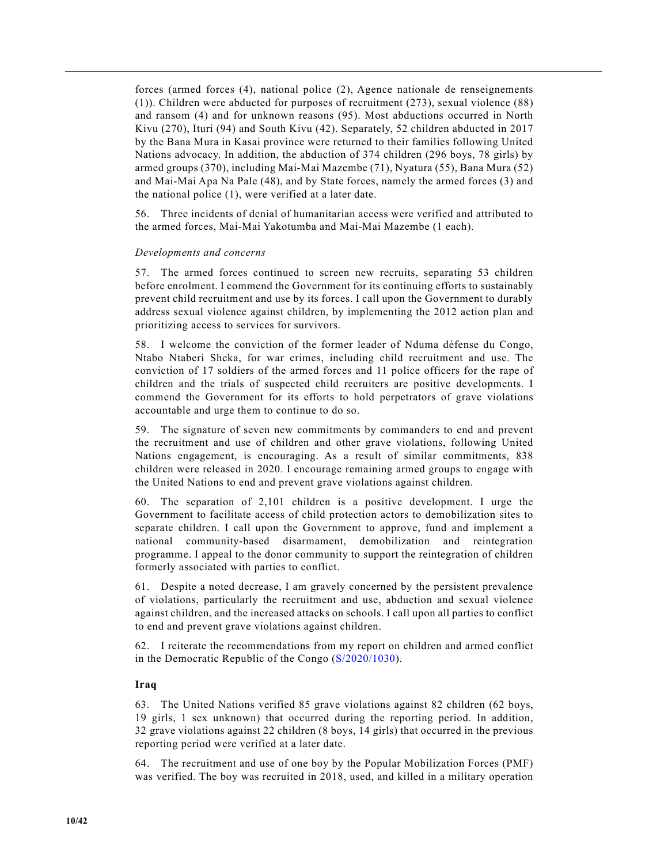forces (armed forces (4), national police (2), Agence nationale de renseignements (1)). Children were abducted for purposes of recruitment (273), sexual violence (88) and ransom (4) and for unknown reasons (95). Most abductions occurred in North Kivu (270), Ituri (94) and South Kivu (42). Separately, 52 children abducted in 2017 by the Bana Mura in Kasai province were returned to their families following United Nations advocacy. In addition, the abduction of 374 children (296 boys, 78 girls) by armed groups (370), including Mai-Mai Mazembe (71), Nyatura (55), Bana Mura (52) and Mai-Mai Apa Na Pale (48), and by State forces, namely the armed forces (3) and the national police (1), were verified at a later date.

56. Three incidents of denial of humanitarian access were verified and attributed to the armed forces, Mai-Mai Yakotumba and Mai-Mai Mazembe (1 each).

#### *Developments and concerns*

57. The armed forces continued to screen new recruits, separating 53 children before enrolment. I commend the Government for its continuing efforts to sustainably prevent child recruitment and use by its forces. I call upon the Government to durably address sexual violence against children, by implementing the 2012 action plan and prioritizing access to services for survivors.

58. I welcome the conviction of the former leader of Nduma défense du Congo, Ntabo Ntaberi Sheka, for war crimes, including child recruitment and use. The conviction of 17 soldiers of the armed forces and 11 police officers for the rape of children and the trials of suspected child recruiters are positive developments. I commend the Government for its efforts to hold perpetrators of grave violations accountable and urge them to continue to do so.

59. The signature of seven new commitments by commanders to end and prevent the recruitment and use of children and other grave violations, following United Nations engagement, is encouraging. As a result of similar commitments, 838 children were released in 2020. I encourage remaining armed groups to engage with the United Nations to end and prevent grave violations against children.

60. The separation of 2,101 children is a positive development. I urge the Government to facilitate access of child protection actors to demobilization sites to separate children. I call upon the Government to approve, fund and implement a national community-based disarmament, demobilization and reintegration programme. I appeal to the donor community to support the reintegration of children formerly associated with parties to conflict.

61. Despite a noted decrease, I am gravely concerned by the persistent prevalence of violations, particularly the recruitment and use, abduction and sexual violence against children, and the increased attacks on schools. I call upon all parties to conflict to end and prevent grave violations against children.

62. I reiterate the recommendations from my report on children and armed conflict in the Democratic Republic of the Congo (S/2020/1030).

## **Iraq**

63. The United Nations verified 85 grave violations against 82 children (62 boys, 19 girls, 1 sex unknown) that occurred during the reporting period. In addition, 32 grave violations against 22 children (8 boys, 14 girls) that occurred in the previous reporting period were verified at a later date.

64. The recruitment and use of one boy by the Popular Mobilization Forces (PMF) was verified. The boy was recruited in 2018, used, and killed in a military operation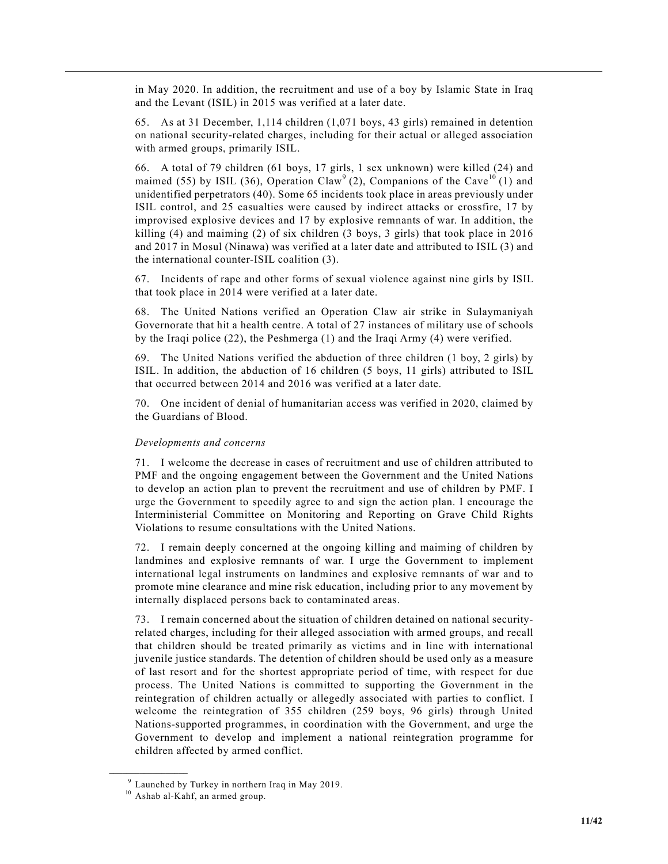in May 2020. In addition, the recruitment and use of a boy by Islamic State in Iraq and the Levant (ISIL) in 2015 was verified at a later date.

65. As at 31 December, 1,114 children (1,071 boys, 43 girls) remained in detention on national security-related charges, including for their actual or alleged association with armed groups, primarily ISIL.

66. A total of 79 children (61 boys, 17 girls, 1 sex unknown) were killed (24) and maimed (55) by ISIL (36), Operation Claw<sup>9</sup> (2), Companions of the Cave<sup>10</sup> (1) and unidentified perpetrators (40). Some 65 incidents took place in areas previously under ISIL control, and 25 casualties were caused by indirect attacks or crossfire, 17 by improvised explosive devices and 17 by explosive remnants of war. In addition, the killing (4) and maiming (2) of six children (3 boys, 3 girls) that took place in 2016 and 2017 in Mosul (Ninawa) was verified at a later date and attributed to ISIL (3) and the international counter-ISIL coalition (3).

67. Incidents of rape and other forms of sexual violence against nine girls by ISIL that took place in 2014 were verified at a later date.

68. The United Nations verified an Operation Claw air strike in Sulaymaniyah Governorate that hit a health centre. A total of 27 instances of military use of schools by the Iraqi police (22), the Peshmerga (1) and the Iraqi Army (4) were verified.

69. The United Nations verified the abduction of three children (1 boy, 2 girls) by ISIL. In addition, the abduction of 16 children (5 boys, 11 girls) attributed to ISIL that occurred between 2014 and 2016 was verified at a later date.

70. One incident of denial of humanitarian access was verified in 2020, claimed by the Guardians of Blood.

# *Developments and concerns*

71. I welcome the decrease in cases of recruitment and use of children attributed to PMF and the ongoing engagement between the Government and the United Nations to develop an action plan to prevent the recruitment and use of children by PMF. I urge the Government to speedily agree to and sign the action plan. I encourage the Interministerial Committee on Monitoring and Reporting on Grave Child Rights Violations to resume consultations with the United Nations.

72. I remain deeply concerned at the ongoing killing and maiming of children by landmines and explosive remnants of war. I urge the Government to implement international legal instruments on landmines and explosive remnants of war and to promote mine clearance and mine risk education, including prior to any movement by internally displaced persons back to contaminated areas.

73. I remain concerned about the situation of children detained on national securityrelated charges, including for their alleged association with armed groups, and recall that children should be treated primarily as victims and in line with international juvenile justice standards. The detention of children should be used only as a measure of last resort and for the shortest appropriate period of time, with respect for due process. The United Nations is committed to supporting the Government in the reintegration of children actually or allegedly associated with parties to conflict. I welcome the reintegration of 355 children (259 boys, 96 girls) through United Nations-supported programmes, in coordination with the Government, and urge the Government to develop and implement a national reintegration programme for children affected by armed conflict.

**\_\_\_\_\_\_\_\_\_\_\_\_\_\_\_\_\_\_**

<sup>9</sup> Launched by Turkey in northern Iraq in May 2019.

<sup>&</sup>lt;sup>10</sup> Ashab al-Kahf, an armed group.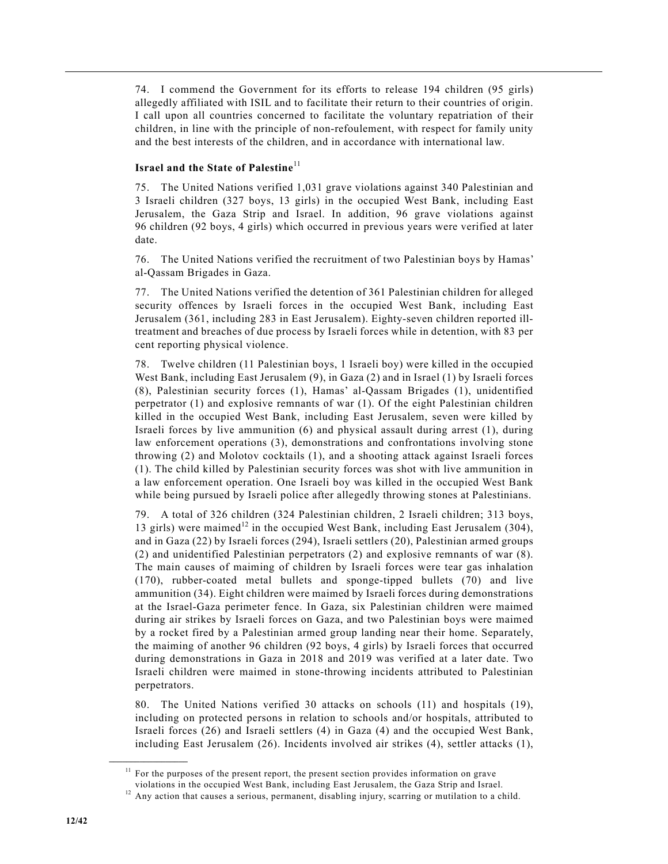74. I commend the Government for its efforts to release 194 children (95 girls) allegedly affiliated with ISIL and to facilitate their return to their countries of origin. I call upon all countries concerned to facilitate the voluntary repatriation of their children, in line with the principle of non-refoulement, with respect for family unity and the best interests of the children, and in accordance with international law.

# **Israel and the State of Palestine**<sup>11</sup>

75. The United Nations verified 1,031 grave violations against 340 Palestinian and 3 Israeli children (327 boys, 13 girls) in the occupied West Bank, including East Jerusalem, the Gaza Strip and Israel. In addition, 96 grave violations against 96 children (92 boys, 4 girls) which occurred in previous years were verified at later date.

76. The United Nations verified the recruitment of two Palestinian boys by Hamas' al-Qassam Brigades in Gaza.

77. The United Nations verified the detention of 361 Palestinian children for alleged security offences by Israeli forces in the occupied West Bank, including East Jerusalem (361, including 283 in East Jerusalem). Eighty-seven children reported illtreatment and breaches of due process by Israeli forces while in detention, with 83 per cent reporting physical violence.

78. Twelve children (11 Palestinian boys, 1 Israeli boy) were killed in the occupied West Bank, including East Jerusalem (9), in Gaza (2) and in Israel (1) by Israeli forces (8), Palestinian security forces (1), Hamas' al-Qassam Brigades (1), unidentified perpetrator (1) and explosive remnants of war (1). Of the eight Palestinian children killed in the occupied West Bank, including East Jerusalem, seven were killed by Israeli forces by live ammunition (6) and physical assault during arrest (1), during law enforcement operations (3), demonstrations and confrontations involving stone throwing (2) and Molotov cocktails (1), and a shooting attack against Israeli forces (1). The child killed by Palestinian security forces was shot with live ammunition in a law enforcement operation. One Israeli boy was killed in the occupied West Bank while being pursued by Israeli police after allegedly throwing stones at Palestinians.

79. A total of 326 children (324 Palestinian children, 2 Israeli children; 313 boys, 13 girls) were maimed<sup>12</sup> in the occupied West Bank, including East Jerusalem (304), and in Gaza (22) by Israeli forces (294), Israeli settlers (20), Palestinian armed groups (2) and unidentified Palestinian perpetrators (2) and explosive remnants of war (8). The main causes of maiming of children by Israeli forces were tear gas inhalation (170), rubber-coated metal bullets and sponge-tipped bullets (70) and live ammunition (34). Eight children were maimed by Israeli forces during demonstrations at the Israel-Gaza perimeter fence. In Gaza, six Palestinian children were maimed during air strikes by Israeli forces on Gaza, and two Palestinian boys were maimed by a rocket fired by a Palestinian armed group landing near their home. Separately, the maiming of another 96 children (92 boys, 4 girls) by Israeli forces that occurred during demonstrations in Gaza in 2018 and 2019 was verified at a later date. Two Israeli children were maimed in stone-throwing incidents attributed to Palestinian perpetrators.

80. The United Nations verified 30 attacks on schools (11) and hospitals (19), including on protected persons in relation to schools and/or hospitals, attributed to Israeli forces (26) and Israeli settlers (4) in Gaza (4) and the occupied West Bank, including East Jerusalem (26). Incidents involved air strikes (4), settler attacks (1),

**\_\_\_\_\_\_\_\_\_\_\_\_\_\_\_\_\_\_**

 $11$  For the purposes of the present report, the present section provides information on grave violations in the occupied West Bank, including East Jerusalem, the Gaza Strip and Israel.

<sup>&</sup>lt;sup>12</sup> Any action that causes a serious, permanent, disabling injury, scarring or mutilation to a child.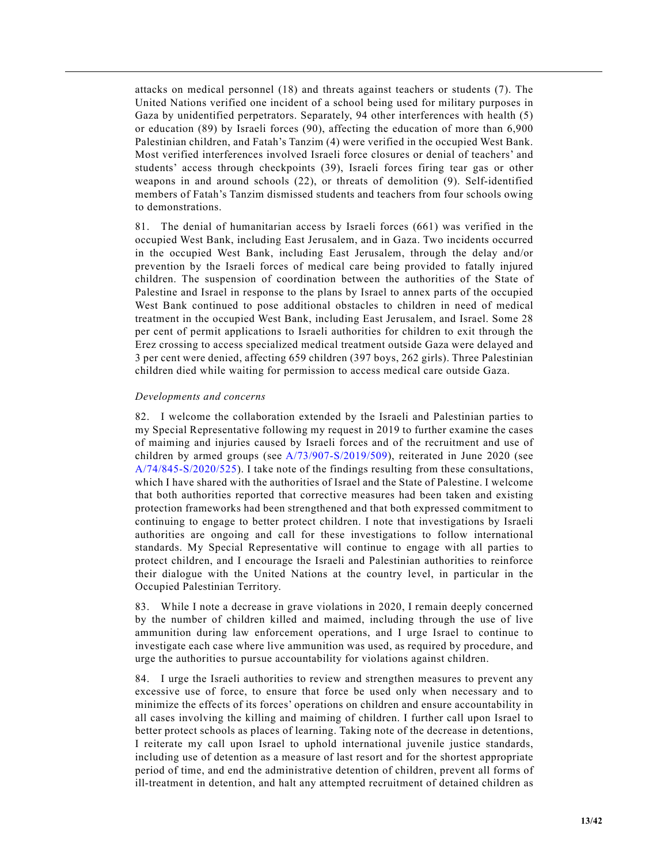attacks on medical personnel (18) and threats against teachers or students (7). The United Nations verified one incident of a school being used for military purposes in Gaza by unidentified perpetrators. Separately, 94 other interferences with health (5) or education (89) by Israeli forces (90), affecting the education of more than 6,900 Palestinian children, and Fatah's Tanzim (4) were verified in the occupied West Bank. Most verified interferences involved Israeli force closures or denial of teachers' and students' access through checkpoints (39), Israeli forces firing tear gas or other weapons in and around schools (22), or threats of demolition (9). Self-identified members of Fatah's Tanzim dismissed students and teachers from four schools owing to demonstrations.

81. The denial of humanitarian access by Israeli forces (661) was verified in the occupied West Bank, including East Jerusalem, and in Gaza. Two incidents occurred in the occupied West Bank, including East Jerusalem, through the delay and/or prevention by the Israeli forces of medical care being provided to fatally injured children. The suspension of coordination between the authorities of the State of Palestine and Israel in response to the plans by Israel to annex parts of the occupied West Bank continued to pose additional obstacles to children in need of medical treatment in the occupied West Bank, including East Jerusalem, and Israel. Some 28 per cent of permit applications to Israeli authorities for children to exit through the Erez crossing to access specialized medical treatment outside Gaza were delayed and 3 per cent were denied, affecting 659 children (397 boys, 262 girls). Three Palestinian children died while waiting for permission to access medical care outside Gaza.

#### *Developments and concerns*

82. I welcome the collaboration extended by the Israeli and Palestinian parties to my Special Representative following my request in 2019 to further examine the cases of maiming and injuries caused by Israeli forces and of the recruitment and use of children by armed groups (see A/73/907-S/2019/509), reiterated in June 2020 (see A/74/845-S/2020/525). I take note of the findings resulting from these consultations, which I have shared with the authorities of Israel and the State of Palestine. I welcome that both authorities reported that corrective measures had been taken and existing protection frameworks had been strengthened and that both expressed commitment to continuing to engage to better protect children. I note that investigations by Israeli authorities are ongoing and call for these investigations to follow international standards. My Special Representative will continue to engage with all parties to protect children, and I encourage the Israeli and Palestinian authorities to reinforce their dialogue with the United Nations at the country level, in particular in the Occupied Palestinian Territory.

83. While I note a decrease in grave violations in 2020, I remain deeply concerned by the number of children killed and maimed, including through the use of live ammunition during law enforcement operations, and I urge Israel to continue to investigate each case where live ammunition was used, as required by procedure, and urge the authorities to pursue accountability for violations against children.

84. I urge the Israeli authorities to review and strengthen measures to prevent any excessive use of force, to ensure that force be used only when necessary and to minimize the effects of its forces' operations on children and ensure accountability in all cases involving the killing and maiming of children. I further call upon Israel to better protect schools as places of learning. Taking note of the decrease in detentions, I reiterate my call upon Israel to uphold international juvenile justice standards, including use of detention as a measure of last resort and for the shortest appropriate period of time, and end the administrative detention of children, prevent all forms of ill-treatment in detention, and halt any attempted recruitment of detained children as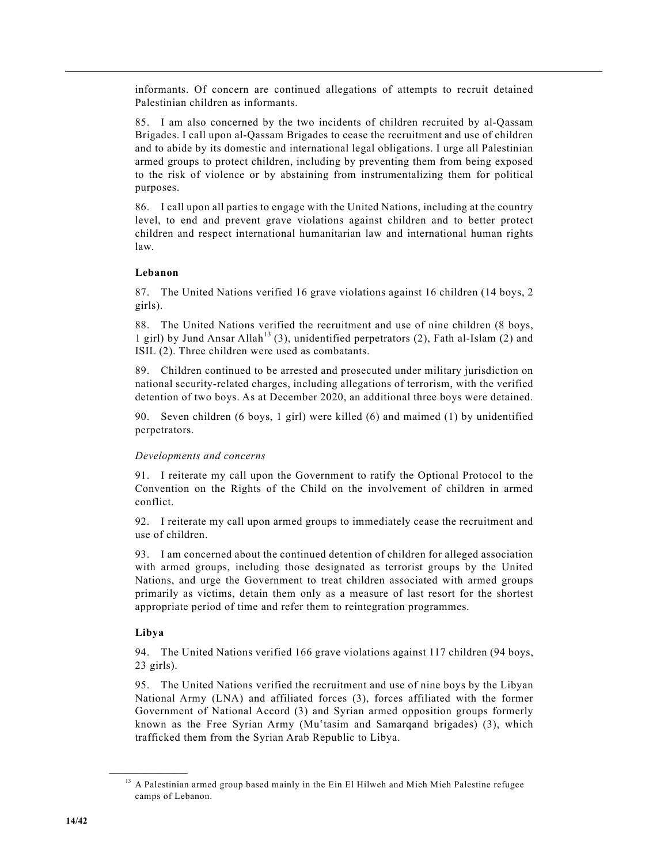informants. Of concern are continued allegations of attempts to recruit detained Palestinian children as informants.

85. I am also concerned by the two incidents of children recruited by al-Qassam Brigades. I call upon al-Qassam Brigades to cease the recruitment and use of children and to abide by its domestic and international legal obligations. I urge all Palestinian armed groups to protect children, including by preventing them from being exposed to the risk of violence or by abstaining from instrumentalizing them for political purposes.

86. I call upon all parties to engage with the United Nations, including at the country level, to end and prevent grave violations against children and to better protect children and respect international humanitarian law and international human rights law.

## **Lebanon**

87. The United Nations verified 16 grave violations against 16 children (14 boys, 2 girls).

88. The United Nations verified the recruitment and use of nine children (8 boys, 1 girl) by Jund Ansar Allah<sup>13</sup> (3), unidentified perpetrators (2), Fath al-Islam (2) and ISIL (2). Three children were used as combatants.

89. Children continued to be arrested and prosecuted under military jurisdiction on national security-related charges, including allegations of terrorism, with the verified detention of two boys. As at December 2020, an additional three boys were detained.

90. Seven children (6 boys, 1 girl) were killed (6) and maimed (1) by unidentified perpetrators.

## *Developments and concerns*

91. I reiterate my call upon the Government to ratify the Optional Protocol to the Convention on the Rights of the Child on the involvement of children in armed conflict.

92. I reiterate my call upon armed groups to immediately cease the recruitment and use of children.

93. I am concerned about the continued detention of children for alleged association with armed groups, including those designated as terrorist groups by the United Nations, and urge the Government to treat children associated with armed groups primarily as victims, detain them only as a measure of last resort for the shortest appropriate period of time and refer them to reintegration programmes.

## **Libya**

**\_\_\_\_\_\_\_\_\_\_\_\_\_\_\_\_\_\_**

94. The United Nations verified 166 grave violations against 117 children (94 boys, 23 girls).

95. The United Nations verified the recruitment and use of nine boys by the Libyan National Army (LNA) and affiliated forces (3), forces affiliated with the former Government of National Accord (3) and Syrian armed opposition groups formerly known as the Free Syrian Army (Muʿtasim and Samarqand brigades) (3), which trafficked them from the Syrian Arab Republic to Libya.

<sup>&</sup>lt;sup>13</sup> A Palestinian armed group based mainly in the Ein El Hilweh and Mieh Mieh Palestine refugee camps of Lebanon.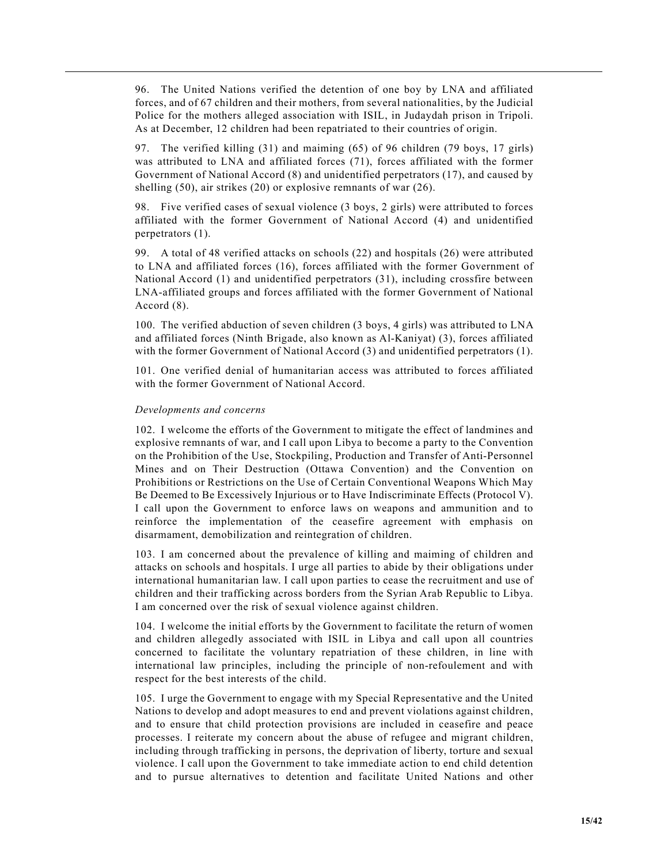96. The United Nations verified the detention of one boy by LNA and affiliated forces, and of 67 children and their mothers, from several nationalities, by the Judicial Police for the mothers alleged association with ISIL, in Judaydah prison in Tripoli. As at December, 12 children had been repatriated to their countries of origin.

97. The verified killing (31) and maiming (65) of 96 children (79 boys, 17 girls) was attributed to LNA and affiliated forces (71), forces affiliated with the former Government of National Accord (8) and unidentified perpetrators (17), and caused by shelling (50), air strikes (20) or explosive remnants of war (26).

98. Five verified cases of sexual violence (3 boys, 2 girls) were attributed to forces affiliated with the former Government of National Accord (4) and unidentified perpetrators (1).

99. A total of 48 verified attacks on schools (22) and hospitals (26) were attributed to LNA and affiliated forces (16), forces affiliated with the former Government of National Accord (1) and unidentified perpetrators (31), including crossfire between LNA-affiliated groups and forces affiliated with the former Government of National Accord (8).

100. The verified abduction of seven children (3 boys, 4 girls) was attributed to LNA and affiliated forces (Ninth Brigade, also known as Al-Kaniyat) (3), forces affiliated with the former Government of National Accord (3) and unidentified perpetrators (1).

101. One verified denial of humanitarian access was attributed to forces affiliated with the former Government of National Accord.

#### *Developments and concerns*

102. I welcome the efforts of the Government to mitigate the effect of landmines and explosive remnants of war, and I call upon Libya to become a party to the Convention on the Prohibition of the Use, Stockpiling, Production and Transfer of Anti-Personnel Mines and on Their Destruction (Ottawa Convention) and the Convention on Prohibitions or Restrictions on the Use of Certain Conventional Weapons Which May Be Deemed to Be Excessively Injurious or to Have Indiscriminate Effects (Protocol V). I call upon the Government to enforce laws on weapons and ammunition and to reinforce the implementation of the ceasefire agreement with emphasis on disarmament, demobilization and reintegration of children.

103. I am concerned about the prevalence of killing and maiming of children and attacks on schools and hospitals. I urge all parties to abide by their obligations under international humanitarian law. I call upon parties to cease the recruitment and use of children and their trafficking across borders from the Syrian Arab Republic to Libya. I am concerned over the risk of sexual violence against children.

104. I welcome the initial efforts by the Government to facilitate the return of women and children allegedly associated with ISIL in Libya and call upon all countries concerned to facilitate the voluntary repatriation of these children, in line with international law principles, including the principle of non-refoulement and with respect for the best interests of the child.

105. I urge the Government to engage with my Special Representative and the United Nations to develop and adopt measures to end and prevent violations against children, and to ensure that child protection provisions are included in ceasefire and peace processes. I reiterate my concern about the abuse of refugee and migrant children, including through trafficking in persons, the deprivation of liberty, torture and sexual violence. I call upon the Government to take immediate action to end child detention and to pursue alternatives to detention and facilitate United Nations and other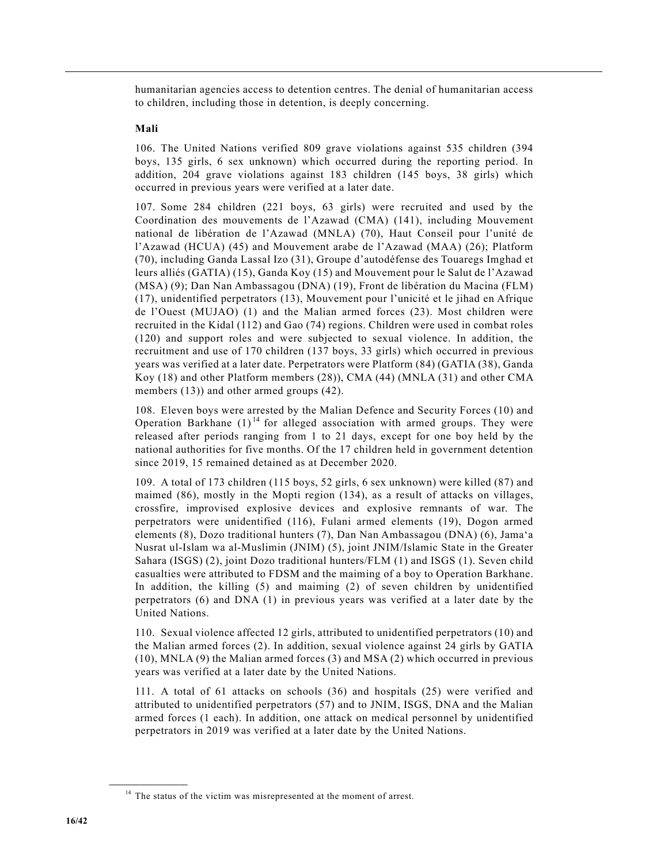humanitarian agencies access to detention centres. The denial of humanitarian access to children, including those in detention, is deeply concerning.

## **Mali**

106. The United Nations verified 809 grave violations against 535 children (394 boys, 135 girls, 6 sex unknown) which occurred during the reporting period. In addition, 204 grave violations against 183 children (145 boys, 38 girls) which occurred in previous years were verified at a later date.

107. Some 284 children (221 boys, 63 girls) were recruited and used by the Coordination des mouvements de l'Azawad (CMA) (141), including Mouvement national de libération de l'Azawad (MNLA) (70), Haut Conseil pour l'unité de l'Azawad (HCUA) (45) and Mouvement arabe de l'Azawad (MAA) (26); Platform (70), including Ganda Lassal Izo (31), Groupe d'autodéfense des Touaregs Imghad et leurs alliés (GATIA) (15), Ganda Koy (15) and Mouvement pour le Salut de l'Azawad (MSA) (9); Dan Nan Ambassagou (DNA) (19), Front de libération du Macina (FLM) (17), unidentified perpetrators (13), Mouvement pour l'unicité et le jihad en Afrique de l'Ouest (MUJAO) (1) and the Malian armed forces (23). Most children were recruited in the Kidal (112) and Gao (74) regions. Children were used in combat roles (120) and support roles and were subjected to sexual violence. In addition, the recruitment and use of 170 children (137 boys, 33 girls) which occurred in previous years was verified at a later date. Perpetrators were Platform (84) (GATIA (38), Ganda Koy (18) and other Platform members (28)), CMA (44) (MNLA (31) and other CMA members (13)) and other armed groups (42).

108. Eleven boys were arrested by the Malian Defence and Security Forces (10) and Operation Barkhane  $(1)^{14}$  for alleged association with armed groups. They were released after periods ranging from 1 to 21 days, except for one boy held by the national authorities for five months. Of the 17 children held in government detention since 2019, 15 remained detained as at December 2020.

109. A total of 173 children (115 boys, 52 girls, 6 sex unknown) were killed (87) and maimed (86), mostly in the Mopti region (134), as a result of attacks on villages, crossfire, improvised explosive devices and explosive remnants of war. The perpetrators were unidentified (116), Fulani armed elements (19), Dogon armed elements (8), Dozo traditional hunters (7), Dan Nan Ambassagou (DNA) (6), Jama'a Nusrat ul-Islam wa al-Muslimin (JNIM) (5), joint JNIM/Islamic State in the Greater Sahara (ISGS) (2), joint Dozo traditional hunters/FLM (1) and ISGS (1). Seven child casualties were attributed to FDSM and the maiming of a boy to Operation Barkhane. In addition, the killing (5) and maiming (2) of seven children by unidentified perpetrators (6) and DNA (1) in previous years was verified at a later date by the United Nations.

110. Sexual violence affected 12 girls, attributed to unidentified perpetrators (10) and the Malian armed forces (2). In addition, sexual violence against 24 girls by GATIA (10), MNLA (9) the Malian armed forces (3) and MSA (2) which occurred in previous years was verified at a later date by the United Nations.

111. A total of 61 attacks on schools (36) and hospitals (25) were verified and attributed to unidentified perpetrators (57) and to JNIM, ISGS, DNA and the Malian armed forces (1 each). In addition, one attack on medical personnel by unidentified perpetrators in 2019 was verified at a later date by the United Nations.

**\_\_\_\_\_\_\_\_\_\_\_\_\_\_\_\_\_\_**

 $14$  The status of the victim was misrepresented at the moment of arrest.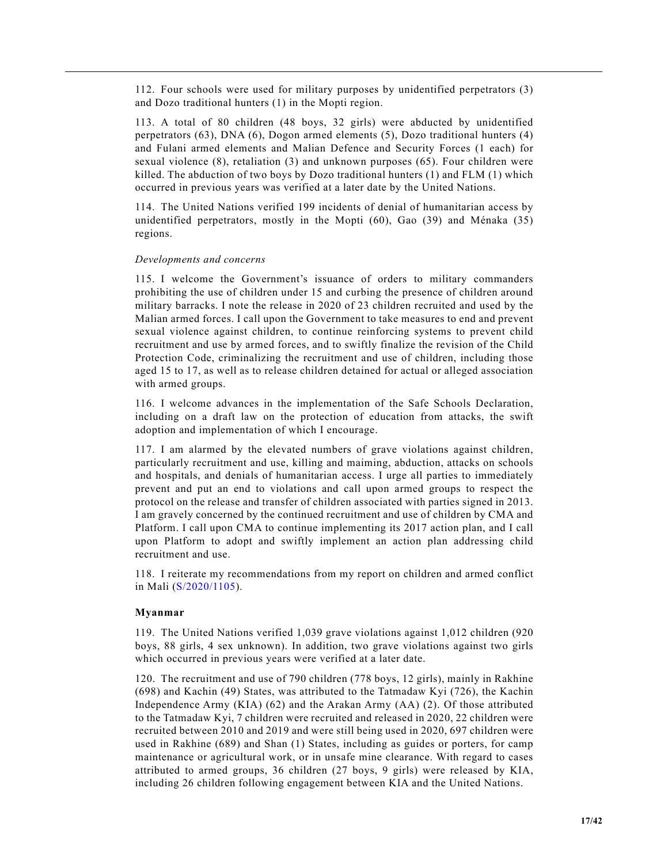112. Four schools were used for military purposes by unidentified perpetrators (3) and Dozo traditional hunters (1) in the Mopti region.

113. A total of 80 children (48 boys, 32 girls) were abducted by unidentified perpetrators (63), DNA (6), Dogon armed elements (5), Dozo traditional hunters (4) and Fulani armed elements and Malian Defence and Security Forces (1 each) for sexual violence (8), retaliation (3) and unknown purposes (65). Four children were killed. The abduction of two boys by Dozo traditional hunters (1) and FLM (1) which occurred in previous years was verified at a later date by the United Nations.

114. The United Nations verified 199 incidents of denial of humanitarian access by unidentified perpetrators, mostly in the Mopti (60), Gao (39) and Ménaka (35) regions.

#### *Developments and concerns*

115. I welcome the Government's issuance of orders to military commanders prohibiting the use of children under 15 and curbing the presence of children around military barracks. I note the release in 2020 of 23 children recruited and used by the Malian armed forces. I call upon the Government to take measures to end and prevent sexual violence against children, to continue reinforcing systems to prevent child recruitment and use by armed forces, and to swiftly finalize the revision of the Child Protection Code, criminalizing the recruitment and use of children, including those aged 15 to 17, as well as to release children detained for actual or alleged association with armed groups.

116. I welcome advances in the implementation of the Safe Schools Declaration, including on a draft law on the protection of education from attacks, the swift adoption and implementation of which I encourage.

117. I am alarmed by the elevated numbers of grave violations against children, particularly recruitment and use, killing and maiming, abduction, attacks on schools and hospitals, and denials of humanitarian access. I urge all parties to immediately prevent and put an end to violations and call upon armed groups to respect the protocol on the release and transfer of children associated with parties signed in 2013. I am gravely concerned by the continued recruitment and use of children by CMA and Platform. I call upon CMA to continue implementing its 2017 action plan, and I call upon Platform to adopt and swiftly implement an action plan addressing child recruitment and use.

118. I reiterate my recommendations from my report on children and armed conflict in Mali (S/2020/1105).

## **Myanmar**

119. The United Nations verified 1,039 grave violations against 1,012 children (920 boys, 88 girls, 4 sex unknown). In addition, two grave violations against two girls which occurred in previous years were verified at a later date.

120. The recruitment and use of 790 children (778 boys, 12 girls), mainly in Rakhine (698) and Kachin (49) States, was attributed to the Tatmadaw Kyi (726), the Kachin Independence Army (KIA) (62) and the Arakan Army (AA) (2). Of those attributed to the Tatmadaw Kyi, 7 children were recruited and released in 2020, 22 children were recruited between 2010 and 2019 and were still being used in 2020, 697 children were used in Rakhine (689) and Shan (1) States, including as guides or porters, for camp maintenance or agricultural work, or in unsafe mine clearance. With regard to cases attributed to armed groups, 36 children (27 boys, 9 girls) were released by KIA, including 26 children following engagement between KIA and the United Nations.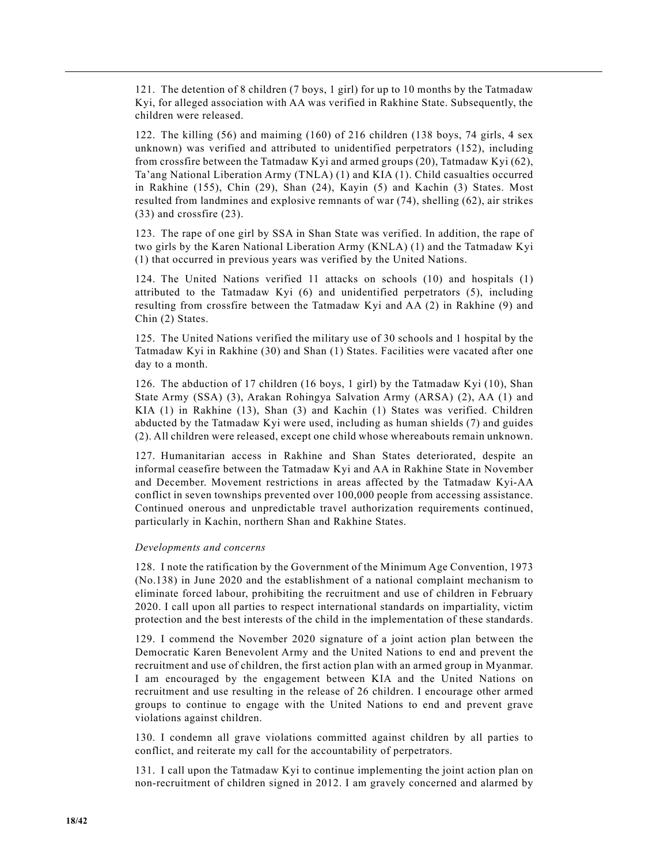121. The detention of 8 children (7 boys, 1 girl) for up to 10 months by the Tatmadaw Kyi, for alleged association with AA was verified in Rakhine State. Subsequently, the children were released.

122. The killing (56) and maiming (160) of 216 children (138 boys, 74 girls, 4 sex unknown) was verified and attributed to unidentified perpetrators (152), including from crossfire between the Tatmadaw Kyi and armed groups (20), Tatmadaw Kyi (62), Ta'ang National Liberation Army (TNLA) (1) and KIA (1). Child casualties occurred in Rakhine (155), Chin (29), Shan (24), Kayin (5) and Kachin (3) States. Most resulted from landmines and explosive remnants of war (74), shelling (62), air strikes (33) and crossfire (23).

123. The rape of one girl by SSA in Shan State was verified. In addition, the rape of two girls by the Karen National Liberation Army (KNLA) (1) and the Tatmadaw Kyi (1) that occurred in previous years was verified by the United Nations.

124. The United Nations verified 11 attacks on schools (10) and hospitals (1) attributed to the Tatmadaw Kyi (6) and unidentified perpetrators (5), including resulting from crossfire between the Tatmadaw Kyi and AA (2) in Rakhine (9) and Chin (2) States.

125. The United Nations verified the military use of 30 schools and 1 hospital by the Tatmadaw Kyi in Rakhine (30) and Shan (1) States. Facilities were vacated after one day to a month.

126. The abduction of 17 children (16 boys, 1 girl) by the Tatmadaw Kyi (10), Shan State Army (SSA) (3), Arakan Rohingya Salvation Army (ARSA) (2), AA (1) and KIA (1) in Rakhine (13), Shan (3) and Kachin (1) States was verified. Children abducted by the Tatmadaw Kyi were used, including as human shields (7) and guides (2). All children were released, except one child whose whereabouts remain unknown.

127. Humanitarian access in Rakhine and Shan States deteriorated, despite an informal ceasefire between the Tatmadaw Kyi and AA in Rakhine State in November and December. Movement restrictions in areas affected by the Tatmadaw Kyi-AA conflict in seven townships prevented over 100,000 people from accessing assistance. Continued onerous and unpredictable travel authorization requirements continued, particularly in Kachin, northern Shan and Rakhine States.

## *Developments and concerns*

128. I note the ratification by the Government of the Minimum Age Convention, 1973 (No.138) in June 2020 and the establishment of a national complaint mechanism to eliminate forced labour, prohibiting the recruitment and use of children in February 2020. I call upon all parties to respect international standards on impartiality, victim protection and the best interests of the child in the implementation of these standards.

129. I commend the November 2020 signature of a joint action plan between the Democratic Karen Benevolent Army and the United Nations to end and prevent the recruitment and use of children, the first action plan with an armed group in Myanmar. I am encouraged by the engagement between KIA and the United Nations on recruitment and use resulting in the release of 26 children. I encourage other armed groups to continue to engage with the United Nations to end and prevent grave violations against children.

130. I condemn all grave violations committed against children by all parties to conflict, and reiterate my call for the accountability of perpetrators.

131. I call upon the Tatmadaw Kyi to continue implementing the joint action plan on non-recruitment of children signed in 2012. I am gravely concerned and alarmed by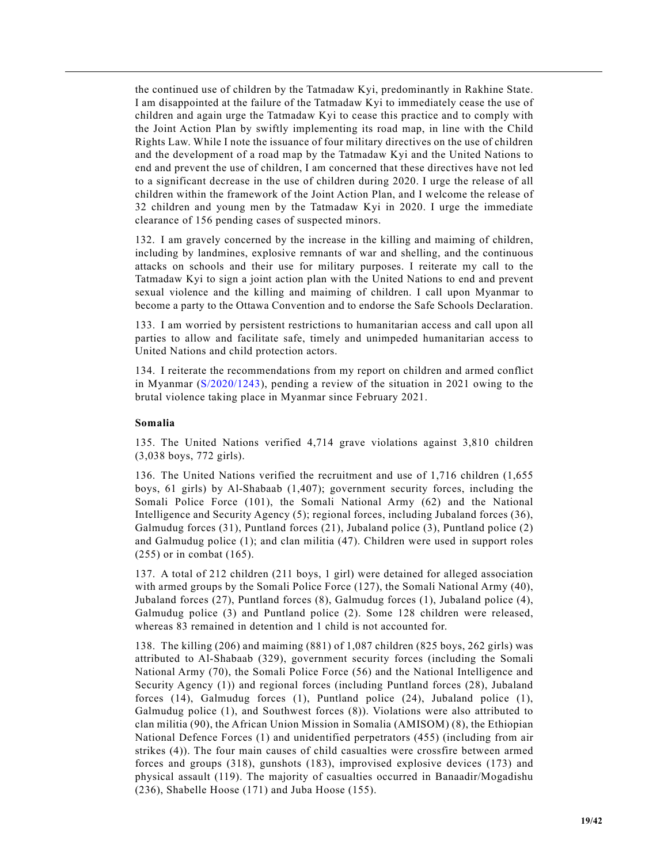the continued use of children by the Tatmadaw Kyi, predominantly in Rakhine State. I am disappointed at the failure of the Tatmadaw Kyi to immediately cease the use of children and again urge the Tatmadaw Kyi to cease this practice and to comply with the Joint Action Plan by swiftly implementing its road map, in line with the Child Rights Law. While I note the issuance of four military directives on the use of children and the development of a road map by the Tatmadaw Kyi and the United Nations to end and prevent the use of children, I am concerned that these directives have not led to a significant decrease in the use of children during 2020. I urge the release of all children within the framework of the Joint Action Plan, and I welcome the release of 32 children and young men by the Tatmadaw Kyi in 2020. I urge the immediate clearance of 156 pending cases of suspected minors.

132. I am gravely concerned by the increase in the killing and maiming of children, including by landmines, explosive remnants of war and shelling, and the continuous attacks on schools and their use for military purposes. I reiterate my call to the Tatmadaw Kyi to sign a joint action plan with the United Nations to end and prevent sexual violence and the killing and maiming of children. I call upon Myanmar to become a party to the Ottawa Convention and to endorse the Safe Schools Declaration.

133. I am worried by persistent restrictions to humanitarian access and call upon all parties to allow and facilitate safe, timely and unimpeded humanitarian access to United Nations and child protection actors.

134. I reiterate the recommendations from my report on children and armed conflict in Myanmar (S/2020/1243), pending a review of the situation in 2021 owing to the brutal violence taking place in Myanmar since February 2021.

## **Somalia**

135. The United Nations verified 4,714 grave violations against 3,810 children (3,038 boys, 772 girls).

136. The United Nations verified the recruitment and use of 1,716 children (1,655 boys, 61 girls) by Al-Shabaab (1,407); government security forces, including the Somali Police Force (101), the Somali National Army (62) and the National Intelligence and Security Agency (5); regional forces, including Jubaland forces (36), Galmudug forces (31), Puntland forces (21), Jubaland police (3), Puntland police (2) and Galmudug police (1); and clan militia (47). Children were used in support roles (255) or in combat (165).

137. A total of 212 children (211 boys, 1 girl) were detained for alleged association with armed groups by the Somali Police Force (127), the Somali National Army (40), Jubaland forces (27), Puntland forces (8), Galmudug forces (1), Jubaland police (4), Galmudug police (3) and Puntland police (2). Some 128 children were released, whereas 83 remained in detention and 1 child is not accounted for.

138. The killing (206) and maiming (881) of 1,087 children (825 boys, 262 girls) was attributed to Al-Shabaab (329), government security forces (including the Somali National Army (70), the Somali Police Force (56) and the National Intelligence and Security Agency (1)) and regional forces (including Puntland forces (28), Jubaland forces (14), Galmudug forces (1), Puntland police (24), Jubaland police (1), Galmudug police (1), and Southwest forces (8)). Violations were also attributed to clan militia (90), the African Union Mission in Somalia (AMISOM) (8), the Ethiopian National Defence Forces (1) and unidentified perpetrators (455) (including from air strikes (4)). The four main causes of child casualties were crossfire between armed forces and groups (318), gunshots (183), improvised explosive devices (173) and physical assault (119). The majority of casualties occurred in Banaadir/Mogadishu (236), Shabelle Hoose (171) and Juba Hoose (155).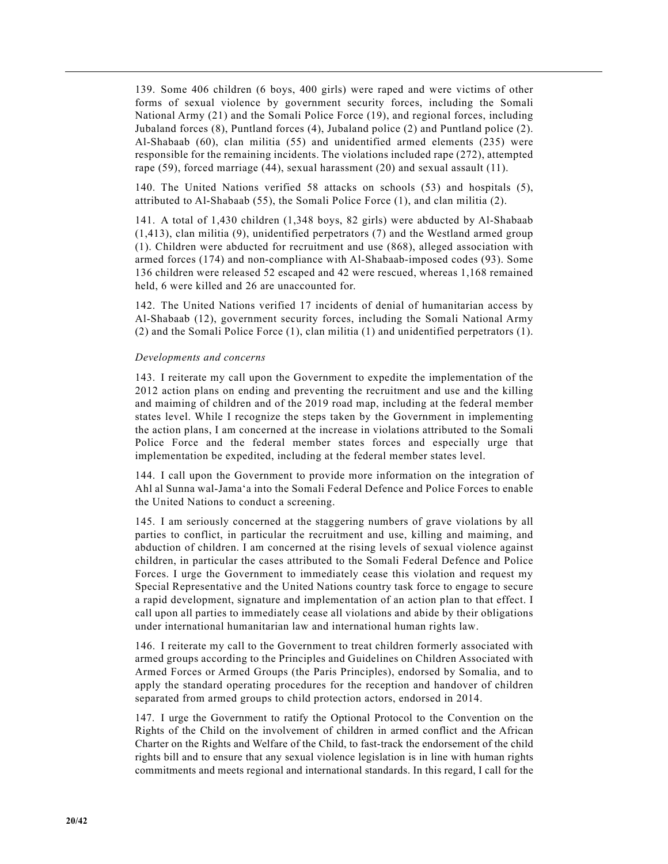139. Some 406 children (6 boys, 400 girls) were raped and were victims of other forms of sexual violence by government security forces, including the Somali National Army (21) and the Somali Police Force (19), and regional forces, including Jubaland forces (8), Puntland forces (4), Jubaland police (2) and Puntland police (2). Al-Shabaab (60), clan militia (55) and unidentified armed elements (235) were responsible for the remaining incidents. The violations included rape (272), attempted rape (59), forced marriage (44), sexual harassment (20) and sexual assault (11).

140. The United Nations verified 58 attacks on schools (53) and hospitals (5), attributed to Al-Shabaab (55), the Somali Police Force (1), and clan militia (2).

141. A total of 1,430 children (1,348 boys, 82 girls) were abducted by Al-Shabaab (1,413), clan militia (9), unidentified perpetrators (7) and the Westland armed group (1). Children were abducted for recruitment and use (868), alleged association with armed forces (174) and non-compliance with Al-Shabaab-imposed codes (93). Some 136 children were released 52 escaped and 42 were rescued, whereas 1,168 remained held, 6 were killed and 26 are unaccounted for.

142. The United Nations verified 17 incidents of denial of humanitarian access by Al-Shabaab (12), government security forces, including the Somali National Army (2) and the Somali Police Force (1), clan militia (1) and unidentified perpetrators (1).

#### *Developments and concerns*

143. I reiterate my call upon the Government to expedite the implementation of the 2012 action plans on ending and preventing the recruitment and use and the killing and maiming of children and of the 2019 road map, including at the federal member states level. While I recognize the steps taken by the Government in implementing the action plans, I am concerned at the increase in violations attributed to the Somali Police Force and the federal member states forces and especially urge that implementation be expedited, including at the federal member states level.

144. I call upon the Government to provide more information on the integration of Ahl al Sunna wal-Jama'a into the Somali Federal Defence and Police Forces to enable the United Nations to conduct a screening.

145. I am seriously concerned at the staggering numbers of grave violations by all parties to conflict, in particular the recruitment and use, killing and maiming, and abduction of children. I am concerned at the rising levels of sexual violence against children, in particular the cases attributed to the Somali Federal Defence and Police Forces. I urge the Government to immediately cease this violation and request my Special Representative and the United Nations country task force to engage to secure a rapid development, signature and implementation of an action plan to that effect. I call upon all parties to immediately cease all violations and abide by their obligations under international humanitarian law and international human rights law.

146. I reiterate my call to the Government to treat children formerly associated with armed groups according to the Principles and Guidelines on Children Associated with Armed Forces or Armed Groups (the Paris Principles), endorsed by Somalia, and to apply the standard operating procedures for the reception and handover of children separated from armed groups to child protection actors, endorsed in 2014.

147. I urge the Government to ratify the Optional Protocol to the Convention on the Rights of the Child on the involvement of children in armed conflict and the African Charter on the Rights and Welfare of the Child, to fast-track the endorsement of the child rights bill and to ensure that any sexual violence legislation is in line with human rights commitments and meets regional and international standards. In this regard, I call for the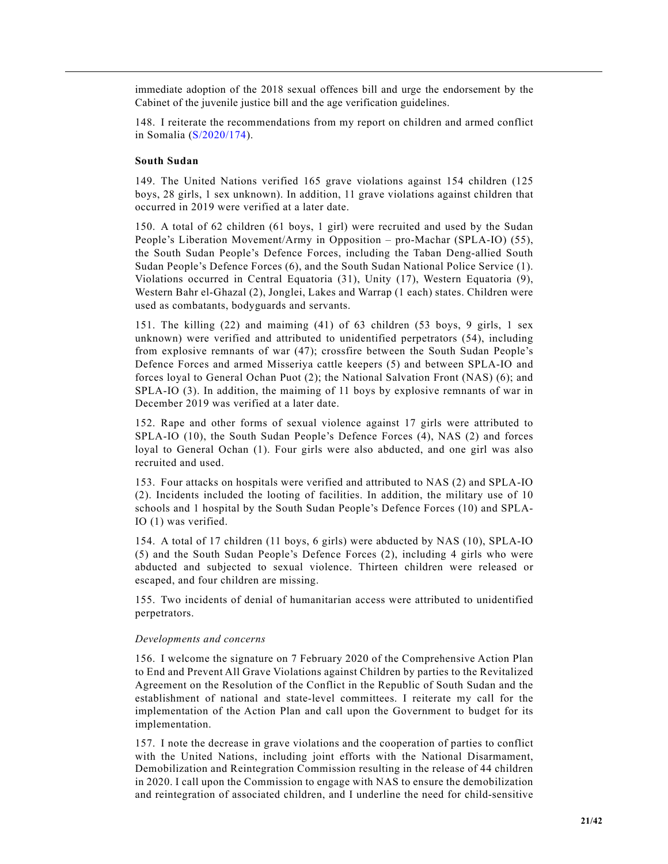immediate adoption of the 2018 sexual offences bill and urge the endorsement by the Cabinet of the juvenile justice bill and the age verification guidelines.

148. I reiterate the recommendations from my report on children and armed conflict in Somalia (S/2020/174).

#### **South Sudan**

149. The United Nations verified 165 grave violations against 154 children (125 boys, 28 girls, 1 sex unknown). In addition, 11 grave violations against children that occurred in 2019 were verified at a later date.

150. A total of 62 children (61 boys, 1 girl) were recruited and used by the Sudan People's Liberation Movement/Army in Opposition – pro-Machar (SPLA-IO) (55), the South Sudan People's Defence Forces, including the Taban Deng-allied South Sudan People's Defence Forces (6), and the South Sudan National Police Service (1). Violations occurred in Central Equatoria (31), Unity (17), Western Equatoria (9), Western Bahr el-Ghazal (2), Jonglei, Lakes and Warrap (1 each) states. Children were used as combatants, bodyguards and servants.

151. The killing (22) and maiming (41) of 63 children (53 boys, 9 girls, 1 sex unknown) were verified and attributed to unidentified perpetrators (54), including from explosive remnants of war (47); crossfire between the South Sudan People's Defence Forces and armed Misseriya cattle keepers (5) and between SPLA-IO and forces loyal to General Ochan Puot (2); the National Salvation Front (NAS) (6); and SPLA-IO (3). In addition, the maiming of 11 boys by explosive remnants of war in December 2019 was verified at a later date.

152. Rape and other forms of sexual violence against 17 girls were attributed to SPLA-IO (10), the South Sudan People's Defence Forces (4), NAS (2) and forces loyal to General Ochan (1). Four girls were also abducted, and one girl was also recruited and used.

153. Four attacks on hospitals were verified and attributed to NAS (2) and SPLA-IO (2). Incidents included the looting of facilities. In addition, the military use of 10 schools and 1 hospital by the South Sudan People's Defence Forces (10) and SPLA-IO (1) was verified.

154. A total of 17 children (11 boys, 6 girls) were abducted by NAS (10), SPLA-IO (5) and the South Sudan People's Defence Forces (2), including 4 girls who were abducted and subjected to sexual violence. Thirteen children were released or escaped, and four children are missing.

155. Two incidents of denial of humanitarian access were attributed to unidentified perpetrators.

#### *Developments and concerns*

156. I welcome the signature on 7 February 2020 of the Comprehensive Action Plan to End and Prevent All Grave Violations against Children by parties to the Revitalized Agreement on the Resolution of the Conflict in the Republic of South Sudan and the establishment of national and state-level committees. I reiterate my call for the implementation of the Action Plan and call upon the Government to budget for its implementation.

157. I note the decrease in grave violations and the cooperation of parties to conflict with the United Nations, including joint efforts with the National Disarmament, Demobilization and Reintegration Commission resulting in the release of 44 children in 2020. I call upon the Commission to engage with NAS to ensure the demobilization and reintegration of associated children, and I underline the need for child-sensitive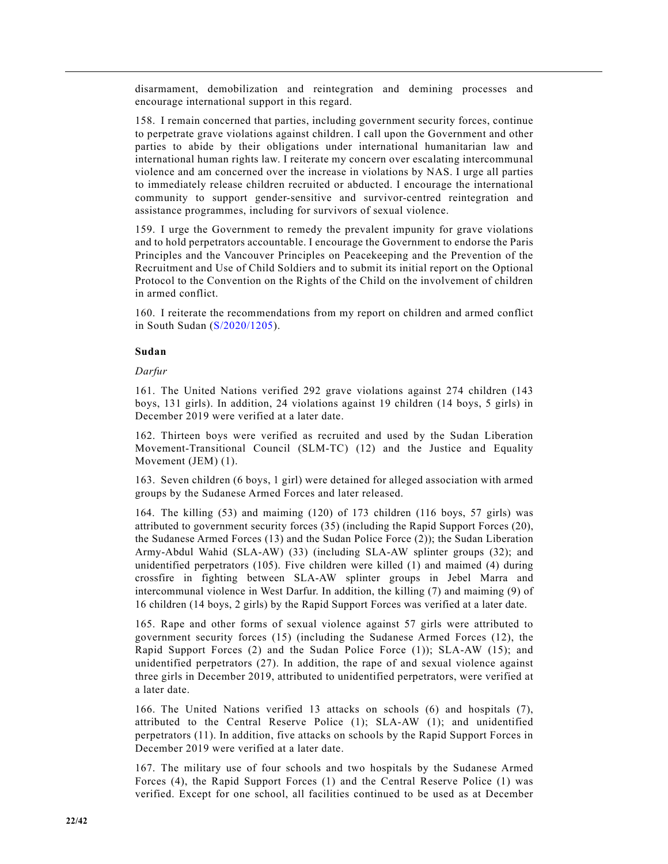disarmament, demobilization and reintegration and demining processes and encourage international support in this regard.

158. I remain concerned that parties, including government security forces, continue to perpetrate grave violations against children. I call upon the Government and other parties to abide by their obligations under international humanitarian law and international human rights law. I reiterate my concern over escalating intercommunal violence and am concerned over the increase in violations by NAS. I urge all parties to immediately release children recruited or abducted. I encourage the international community to support gender-sensitive and survivor-centred reintegration and assistance programmes, including for survivors of sexual violence.

159. I urge the Government to remedy the prevalent impunity for grave violations and to hold perpetrators accountable. I encourage the Government to endorse the Paris Principles and the Vancouver Principles on Peacekeeping and the Prevention of the Recruitment and Use of Child Soldiers and to submit its initial report on the Optional Protocol to the Convention on the Rights of the Child on the involvement of children in armed conflict.

160. I reiterate the recommendations from my report on children and armed conflict in South Sudan (S/2020/1205).

#### **Sudan**

#### *Darfur*

161. The United Nations verified 292 grave violations against 274 children (143 boys, 131 girls). In addition, 24 violations against 19 children (14 boys, 5 girls) in December 2019 were verified at a later date.

162. Thirteen boys were verified as recruited and used by the Sudan Liberation Movement-Transitional Council (SLM-TC) (12) and the Justice and Equality Movement (JEM) (1).

163. Seven children (6 boys, 1 girl) were detained for alleged association with armed groups by the Sudanese Armed Forces and later released.

164. The killing (53) and maiming (120) of 173 children (116 boys, 57 girls) was attributed to government security forces (35) (including the Rapid Support Forces (20), the Sudanese Armed Forces (13) and the Sudan Police Force (2)); the Sudan Liberation Army-Abdul Wahid (SLA-AW) (33) (including SLA-AW splinter groups (32); and unidentified perpetrators (105). Five children were killed (1) and maimed (4) during crossfire in fighting between SLA-AW splinter groups in Jebel Marra and intercommunal violence in West Darfur. In addition, the killing (7) and maiming (9) of 16 children (14 boys, 2 girls) by the Rapid Support Forces was verified at a later date.

165. Rape and other forms of sexual violence against 57 girls were attributed to government security forces (15) (including the Sudanese Armed Forces (12), the Rapid Support Forces (2) and the Sudan Police Force (1)); SLA-AW (15); and unidentified perpetrators (27). In addition, the rape of and sexual violence against three girls in December 2019, attributed to unidentified perpetrators, were verified at a later date.

166. The United Nations verified 13 attacks on schools (6) and hospitals (7), attributed to the Central Reserve Police (1); SLA-AW (1); and unidentified perpetrators (11). In addition, five attacks on schools by the Rapid Support Forces in December 2019 were verified at a later date.

167. The military use of four schools and two hospitals by the Sudanese Armed Forces (4), the Rapid Support Forces (1) and the Central Reserve Police (1) was verified. Except for one school, all facilities continued to be used as at December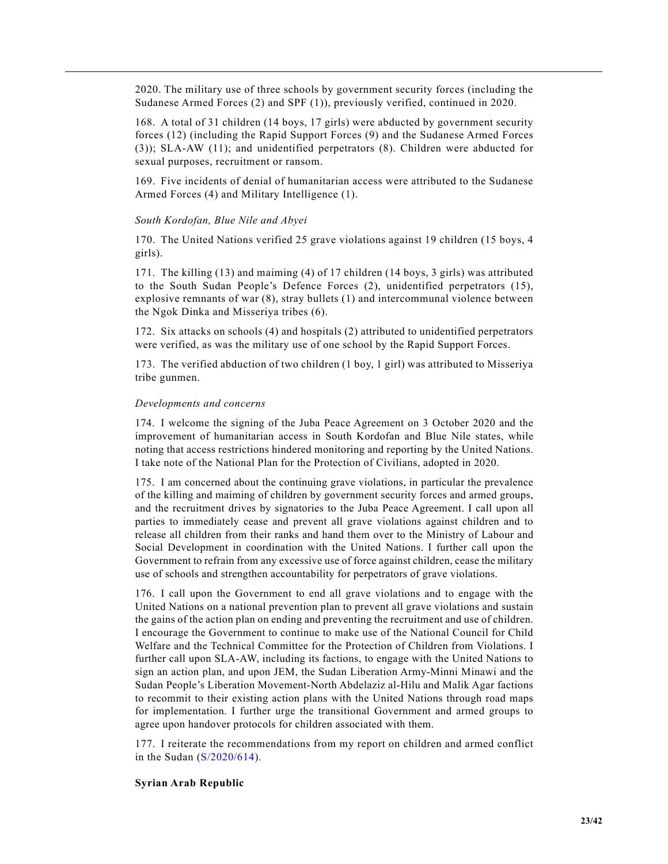2020. The military use of three schools by government security forces (including the Sudanese Armed Forces (2) and SPF (1)), previously verified, continued in 2020.

168. A total of 31 children (14 boys, 17 girls) were abducted by government security forces (12) (including the Rapid Support Forces (9) and the Sudanese Armed Forces (3)); SLA-AW (11); and unidentified perpetrators (8). Children were abducted for sexual purposes, recruitment or ransom.

169. Five incidents of denial of humanitarian access were attributed to the Sudanese Armed Forces (4) and Military Intelligence (1).

#### *South Kordofan, Blue Nile and Abyei*

170. The United Nations verified 25 grave violations against 19 children (15 boys, 4 girls).

171. The killing (13) and maiming (4) of 17 children (14 boys, 3 girls) was attributed to the South Sudan People's Defence Forces (2), unidentified perpetrators (15), explosive remnants of war (8), stray bullets (1) and intercommunal violence between the Ngok Dinka and Misseriya tribes (6).

172. Six attacks on schools (4) and hospitals (2) attributed to unidentified perpetrators were verified, as was the military use of one school by the Rapid Support Forces.

173. The verified abduction of two children (1 boy, 1 girl) was attributed to Misseriya tribe gunmen.

#### *Developments and concerns*

174. I welcome the signing of the Juba Peace Agreement on 3 October 2020 and the improvement of humanitarian access in South Kordofan and Blue Nile states, while noting that access restrictions hindered monitoring and reporting by the United Nations. I take note of the National Plan for the Protection of Civilians, adopted in 2020.

175. I am concerned about the continuing grave violations, in particular the prevalence of the killing and maiming of children by government security forces and armed groups, and the recruitment drives by signatories to the Juba Peace Agreement. I call upon all parties to immediately cease and prevent all grave violations against children and to release all children from their ranks and hand them over to the Ministry of Labour and Social Development in coordination with the United Nations. I further call upon the Government to refrain from any excessive use of force against children, cease the military use of schools and strengthen accountability for perpetrators of grave violations.

176. I call upon the Government to end all grave violations and to engage with the United Nations on a national prevention plan to prevent all grave violations and sustain the gains of the action plan on ending and preventing the recruitment and use of children. I encourage the Government to continue to make use of the National Council for Child Welfare and the Technical Committee for the Protection of Children from Violations. I further call upon SLA-AW, including its factions, to engage with the United Nations to sign an action plan, and upon JEM, the Sudan Liberation Army-Minni Minawi and the Sudan People's Liberation Movement-North Abdelaziz al-Hilu and Malik Agar factions to recommit to their existing action plans with the United Nations through road maps for implementation. I further urge the transitional Government and armed groups to agree upon handover protocols for children associated with them.

177. I reiterate the recommendations from my report on children and armed conflict in the Sudan (S/2020/614).

#### **Syrian Arab Republic**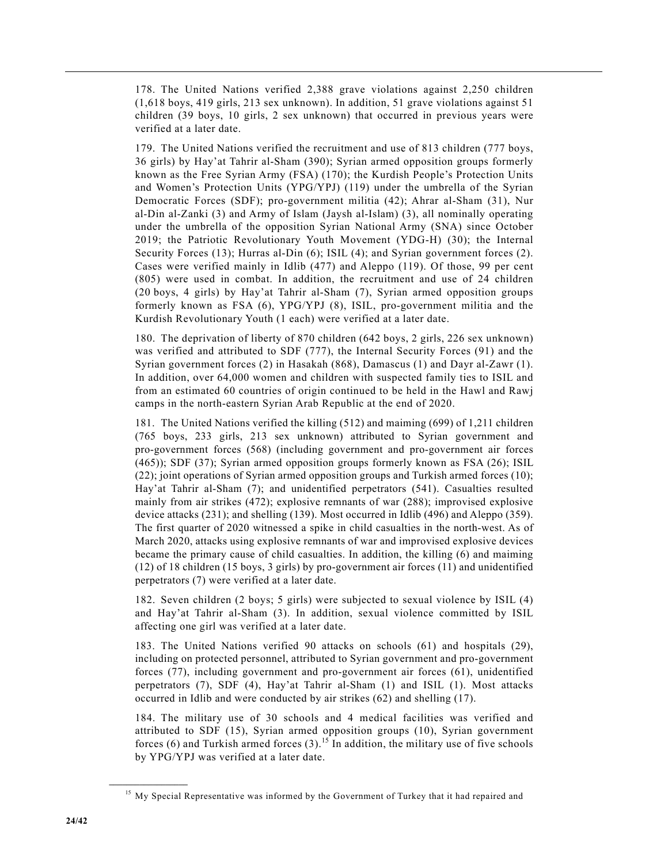178. The United Nations verified 2,388 grave violations against 2,250 children (1,618 boys, 419 girls, 213 sex unknown). In addition, 51 grave violations against 51 children (39 boys, 10 girls, 2 sex unknown) that occurred in previous years were verified at a later date.

179. The United Nations verified the recruitment and use of 813 children (777 boys, 36 girls) by Hay'at Tahrir al-Sham (390); Syrian armed opposition groups formerly known as the Free Syrian Army (FSA) (170); the Kurdish People's Protection Units and Women's Protection Units (YPG/YPJ) (119) under the umbrella of the Syrian Democratic Forces (SDF); pro-government militia (42); Ahrar al-Sham (31), Nur al-Din al-Zanki (3) and Army of Islam (Jaysh al-Islam) (3), all nominally operating under the umbrella of the opposition Syrian National Army (SNA) since October 2019; the Patriotic Revolutionary Youth Movement (YDG-H) (30); the Internal Security Forces (13); Hurras al-Din (6); ISIL (4); and Syrian government forces (2). Cases were verified mainly in Idlib (477) and Aleppo (119). Of those, 99 per cent (805) were used in combat. In addition, the recruitment and use of 24 children (20 boys, 4 girls) by Hay'at Tahrir al-Sham (7), Syrian armed opposition groups formerly known as FSA (6), YPG/YPJ (8), ISIL, pro-government militia and the Kurdish Revolutionary Youth (1 each) were verified at a later date.

180. The deprivation of liberty of 870 children (642 boys, 2 girls, 226 sex unknown) was verified and attributed to SDF (777), the Internal Security Forces (91) and the Syrian government forces (2) in Hasakah (868), Damascus (1) and Dayr al-Zawr (1). In addition, over 64,000 women and children with suspected family ties to ISIL and from an estimated 60 countries of origin continued to be held in the Hawl and Rawj camps in the north-eastern Syrian Arab Republic at the end of 2020.

181. The United Nations verified the killing (512) and maiming (699) of 1,211 children (765 boys, 233 girls, 213 sex unknown) attributed to Syrian government and pro-government forces (568) (including government and pro-government air forces (465)); SDF (37); Syrian armed opposition groups formerly known as FSA (26); ISIL (22); joint operations of Syrian armed opposition groups and Turkish armed forces (10); Hay'at Tahrir al-Sham (7); and unidentified perpetrators (541). Casualties resulted mainly from air strikes (472); explosive remnants of war (288); improvised explosive device attacks (231); and shelling (139). Most occurred in Idlib (496) and Aleppo (359). The first quarter of 2020 witnessed a spike in child casualties in the north-west. As of March 2020, attacks using explosive remnants of war and improvised explosive devices became the primary cause of child casualties. In addition, the killing (6) and maiming (12) of 18 children (15 boys, 3 girls) by pro-government air forces (11) and unidentified perpetrators (7) were verified at a later date.

182. Seven children (2 boys; 5 girls) were subjected to sexual violence by ISIL (4) and Hay'at Tahrir al-Sham (3). In addition, sexual violence committed by ISIL affecting one girl was verified at a later date.

183. The United Nations verified 90 attacks on schools (61) and hospitals (29), including on protected personnel, attributed to Syrian government and pro-government forces (77), including government and pro-government air forces (61), unidentified perpetrators (7), SDF (4), Hay'at Tahrir al-Sham (1) and ISIL (1). Most attacks occurred in Idlib and were conducted by air strikes (62) and shelling (17).

184. The military use of 30 schools and 4 medical facilities was verified and attributed to SDF (15), Syrian armed opposition groups (10), Syrian government forces (6) and Turkish armed forces  $(3)$ .<sup>15</sup> In addition, the military use of five schools by YPG/YPJ was verified at a later date.

**\_\_\_\_\_\_\_\_\_\_\_\_\_\_\_\_\_\_**

<sup>&</sup>lt;sup>15</sup> My Special Representative was informed by the Government of Turkey that it had repaired and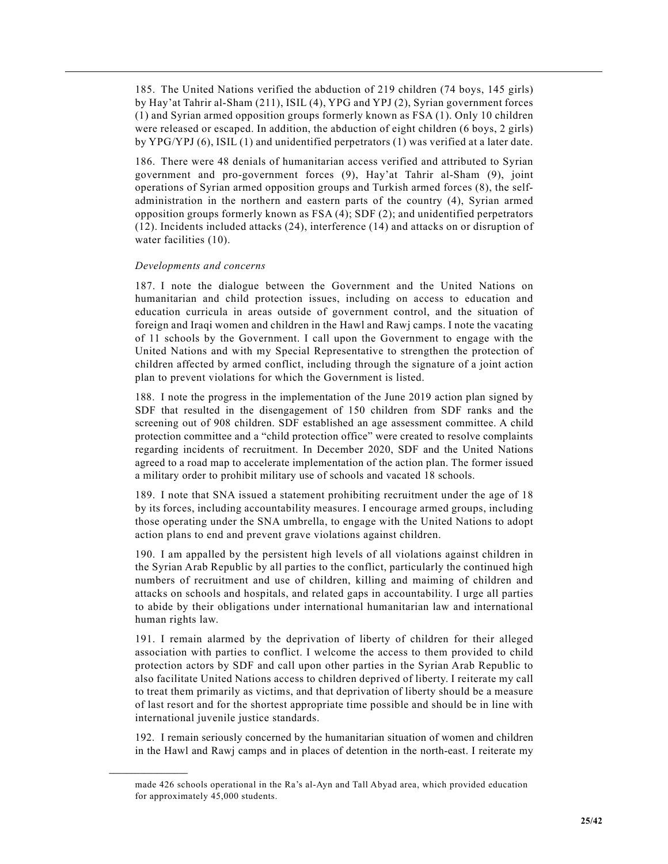185. The United Nations verified the abduction of 219 children (74 boys, 145 girls) by Hay'at Tahrir al-Sham (211), ISIL (4), YPG and YPJ (2), Syrian government forces (1) and Syrian armed opposition groups formerly known as FSA (1). Only 10 children were released or escaped. In addition, the abduction of eight children (6 boys, 2 girls) by YPG/YPJ (6), ISIL (1) and unidentified perpetrators (1) was verified at a later date.

186. There were 48 denials of humanitarian access verified and attributed to Syrian government and pro-government forces (9), Hay'at Tahrir al-Sham (9), joint operations of Syrian armed opposition groups and Turkish armed forces (8), the selfadministration in the northern and eastern parts of the country (4), Syrian armed opposition groups formerly known as FSA (4); SDF (2); and unidentified perpetrators (12). Incidents included attacks (24), interference (14) and attacks on or disruption of water facilities (10).

#### *Developments and concerns*

**\_\_\_\_\_\_\_\_\_\_\_\_\_\_\_\_\_\_**

187. I note the dialogue between the Government and the United Nations on humanitarian and child protection issues, including on access to education and education curricula in areas outside of government control, and the situation of foreign and Iraqi women and children in the Hawl and Rawj camps. I note the vacating of 11 schools by the Government. I call upon the Government to engage with the United Nations and with my Special Representative to strengthen the protection of children affected by armed conflict, including through the signature of a joint action plan to prevent violations for which the Government is listed.

188. I note the progress in the implementation of the June 2019 action plan signed by SDF that resulted in the disengagement of 150 children from SDF ranks and the screening out of 908 children. SDF established an age assessment committee. A child protection committee and a "child protection office" were created to resolve complaints regarding incidents of recruitment. In December 2020, SDF and the United Nations agreed to a road map to accelerate implementation of the action plan. The former issued a military order to prohibit military use of schools and vacated 18 schools.

189. I note that SNA issued a statement prohibiting recruitment under the age of 18 by its forces, including accountability measures. I encourage armed groups, including those operating under the SNA umbrella, to engage with the United Nations to adopt action plans to end and prevent grave violations against children.

190. I am appalled by the persistent high levels of all violations against children in the Syrian Arab Republic by all parties to the conflict, particularly the continued high numbers of recruitment and use of children, killing and maiming of children and attacks on schools and hospitals, and related gaps in accountability. I urge all parties to abide by their obligations under international humanitarian law and international human rights law.

191. I remain alarmed by the deprivation of liberty of children for their alleged association with parties to conflict. I welcome the access to them provided to child protection actors by SDF and call upon other parties in the Syrian Arab Republic to also facilitate United Nations access to children deprived of liberty. I reiterate my call to treat them primarily as victims, and that deprivation of liberty should be a measure of last resort and for the shortest appropriate time possible and should be in line with international juvenile justice standards.

192. I remain seriously concerned by the humanitarian situation of women and children in the Hawl and Rawj camps and in places of detention in the north-east. I reiterate my

made 426 schools operational in the Ra's al-Ayn and Tall Abyad area, which provided education for approximately 45,000 students.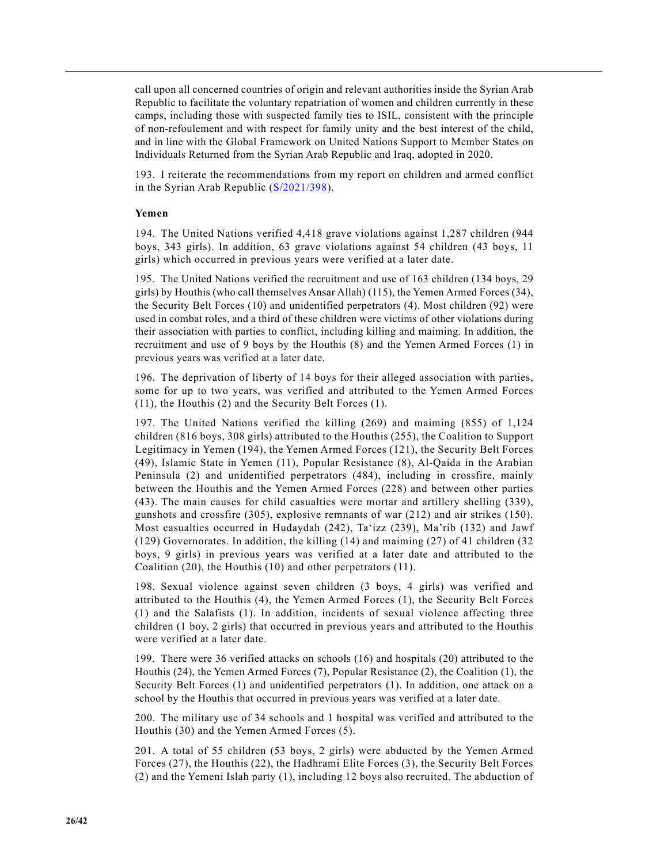call upon all concerned countries of origin and relevant authorities inside the Syrian Arab Republic to facilitate the voluntary repatriation of women and children currently in these camps, including those with suspected family ties to ISIL, consistent with the principle of non-refoulement and with respect for family unity and the best interest of the child, and in line with the Global Framework on United Nations Support to Member States on Individuals Returned from the Syrian Arab Republic and Iraq, adopted in 2020.

193. I reiterate the recommendations from my report on children and armed conflict in the Syrian Arab Republic (S/2021/398).

#### **Yemen**

194. The United Nations verified 4,418 grave violations against 1,287 children (944 boys, 343 girls). In addition, 63 grave violations against 54 children (43 boys, 11 girls) which occurred in previous years were verified at a later date.

195. The United Nations verified the recruitment and use of 163 children (134 boys, 29 girls) by Houthis (who call themselves Ansar Allah) (115), the Yemen Armed Forces (34), the Security Belt Forces (10) and unidentified perpetrators (4). Most children (92) were used in combat roles, and a third of these children were victims of other violations during their association with parties to conflict, including killing and maiming. In addition, the recruitment and use of 9 boys by the Houthis (8) and the Yemen Armed Forces (1) in previous years was verified at a later date.

196. The deprivation of liberty of 14 boys for their alleged association with parties, some for up to two years, was verified and attributed to the Yemen Armed Forces (11), the Houthis (2) and the Security Belt Forces (1).

197. The United Nations verified the killing (269) and maiming (855) of 1,124 children (816 boys, 308 girls) attributed to the Houthis (255), the Coalition to Support Legitimacy in Yemen (194), the Yemen Armed Forces (121), the Security Belt Forces (49), Islamic State in Yemen (11), Popular Resistance (8), Al-Qaida in the Arabian Peninsula (2) and unidentified perpetrators (484), including in crossfire, mainly between the Houthis and the Yemen Armed Forces (228) and between other parties (43). The main causes for child casualties were mortar and artillery shelling (339), gunshots and crossfire (305), explosive remnants of war (212) and air strikes (150). Most casualties occurred in Hudaydah (242), Ta'izz (239), Ma'rib (132) and Jawf (129) Governorates. In addition, the killing (14) and maiming (27) of 41 children (32 boys, 9 girls) in previous years was verified at a later date and attributed to the Coalition (20), the Houthis (10) and other perpetrators (11).

198. Sexual violence against seven children (3 boys, 4 girls) was verified and attributed to the Houthis (4), the Yemen Armed Forces (1), the Security Belt Forces (1) and the Salafists (1). In addition, incidents of sexual violence affecting three children (1 boy, 2 girls) that occurred in previous years and attributed to the Houthis were verified at a later date.

199. There were 36 verified attacks on schools (16) and hospitals (20) attributed to the Houthis (24), the Yemen Armed Forces (7), Popular Resistance (2), the Coalition (1), the Security Belt Forces (1) and unidentified perpetrators (1). In addition, one attack on a school by the Houthis that occurred in previous years was verified at a later date.

200. The military use of 34 schools and 1 hospital was verified and attributed to the Houthis (30) and the Yemen Armed Forces (5).

201. A total of 55 children (53 boys, 2 girls) were abducted by the Yemen Armed Forces (27), the Houthis (22), the Hadhrami Elite Forces (3), the Security Belt Forces (2) and the Yemeni Islah party (1), including 12 boys also recruited. The abduction of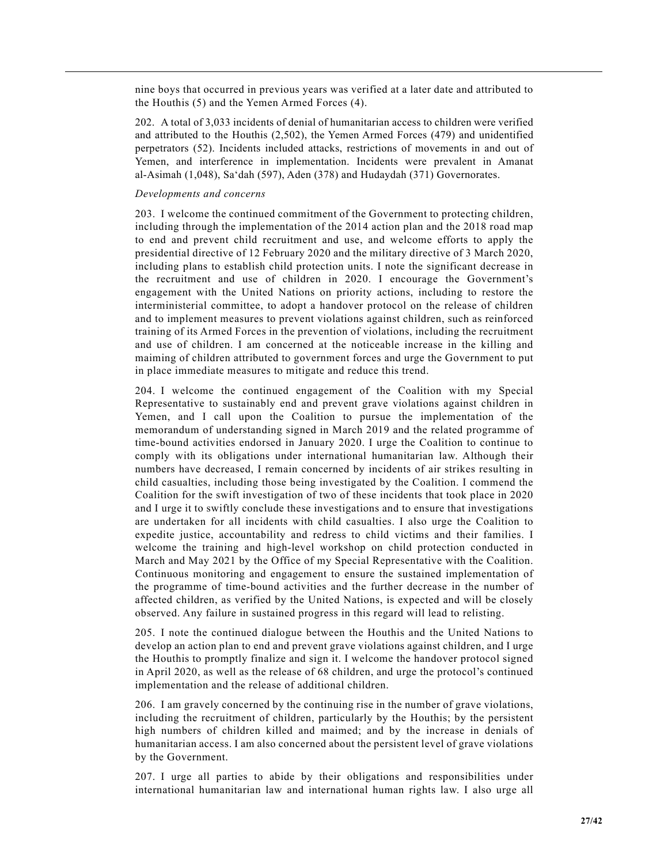nine boys that occurred in previous years was verified at a later date and attributed to the Houthis (5) and the Yemen Armed Forces (4).

202. A total of 3,033 incidents of denial of humanitarian access to children were verified and attributed to the Houthis (2,502), the Yemen Armed Forces (479) and unidentified perpetrators (52). Incidents included attacks, restrictions of movements in and out of Yemen, and interference in implementation. Incidents were prevalent in Amanat al-Asimah (1,048), Sa'dah (597), Aden (378) and Hudaydah (371) Governorates.

## *Developments and concerns*

203. I welcome the continued commitment of the Government to protecting children, including through the implementation of the 2014 action plan and the 2018 road map to end and prevent child recruitment and use, and welcome efforts to apply the presidential directive of 12 February 2020 and the military directive of 3 March 2020, including plans to establish child protection units. I note the significant decrease in the recruitment and use of children in 2020. I encourage the Government's engagement with the United Nations on priority actions, including to restore the interministerial committee, to adopt a handover protocol on the release of children and to implement measures to prevent violations against children, such as reinforced training of its Armed Forces in the prevention of violations, including the recruitment and use of children. I am concerned at the noticeable increase in the killing and maiming of children attributed to government forces and urge the Government to put in place immediate measures to mitigate and reduce this trend.

204. I welcome the continued engagement of the Coalition with my Special Representative to sustainably end and prevent grave violations against children in Yemen, and I call upon the Coalition to pursue the implementation of the memorandum of understanding signed in March 2019 and the related programme of time-bound activities endorsed in January 2020. I urge the Coalition to continue to comply with its obligations under international humanitarian law. Although their numbers have decreased, I remain concerned by incidents of air strikes resulting in child casualties, including those being investigated by the Coalition. I commend the Coalition for the swift investigation of two of these incidents that took place in 2020 and I urge it to swiftly conclude these investigations and to ensure that investigations are undertaken for all incidents with child casualties. I also urge the Coalition to expedite justice, accountability and redress to child victims and their families. I welcome the training and high-level workshop on child protection conducted in March and May 2021 by the Office of my Special Representative with the Coalition. Continuous monitoring and engagement to ensure the sustained implementation of the programme of time-bound activities and the further decrease in the number of affected children, as verified by the United Nations, is expected and will be closely observed. Any failure in sustained progress in this regard will lead to relisting.

205. I note the continued dialogue between the Houthis and the United Nations to develop an action plan to end and prevent grave violations against children, and I urge the Houthis to promptly finalize and sign it. I welcome the handover protocol signed in April 2020, as well as the release of 68 children, and urge the protocol's continued implementation and the release of additional children.

206. I am gravely concerned by the continuing rise in the number of grave violations, including the recruitment of children, particularly by the Houthis; by the persistent high numbers of children killed and maimed; and by the increase in denials of humanitarian access. I am also concerned about the persistent level of grave violations by the Government.

207. I urge all parties to abide by their obligations and responsibilities under international humanitarian law and international human rights law. I also urge all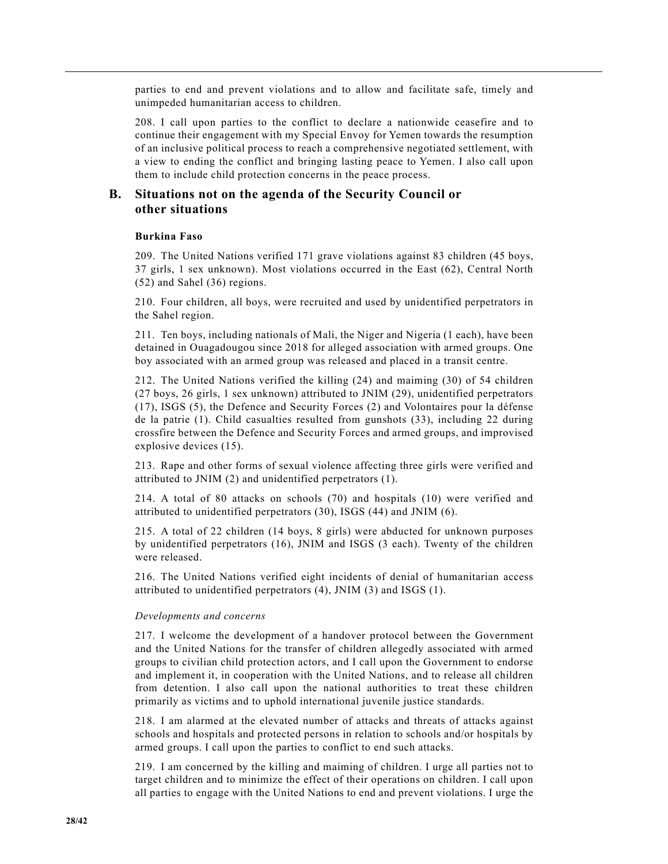parties to end and prevent violations and to allow and facilitate safe, timely and unimpeded humanitarian access to children.

208. I call upon parties to the conflict to declare a nationwide ceasefire and to continue their engagement with my Special Envoy for Yemen towards the resumption of an inclusive political process to reach a comprehensive negotiated settlement, with a view to ending the conflict and bringing lasting peace to Yemen. I also call upon them to include child protection concerns in the peace process.

# **B. Situations not on the agenda of the Security Council or other situations**

## **Burkina Faso**

209. The United Nations verified 171 grave violations against 83 children (45 boys, 37 girls, 1 sex unknown). Most violations occurred in the East (62), Central North (52) and Sahel (36) regions.

210. Four children, all boys, were recruited and used by unidentified perpetrators in the Sahel region.

211. Ten boys, including nationals of Mali, the Niger and Nigeria (1 each), have been detained in Ouagadougou since 2018 for alleged association with armed groups. One boy associated with an armed group was released and placed in a transit centre.

212. The United Nations verified the killing (24) and maiming (30) of 54 children (27 boys, 26 girls, 1 sex unknown) attributed to JNIM (29), unidentified perpetrators (17), ISGS (5), the Defence and Security Forces (2) and Volontaires pour la défense de la patrie (1). Child casualties resulted from gunshots (33), including 22 during crossfire between the Defence and Security Forces and armed groups, and improvised explosive devices (15).

213. Rape and other forms of sexual violence affecting three girls were verified and attributed to JNIM (2) and unidentified perpetrators (1).

214. A total of 80 attacks on schools (70) and hospitals (10) were verified and attributed to unidentified perpetrators (30), ISGS (44) and JNIM (6).

215. A total of 22 children (14 boys, 8 girls) were abducted for unknown purposes by unidentified perpetrators (16), JNIM and ISGS (3 each). Twenty of the children were released.

216. The United Nations verified eight incidents of denial of humanitarian access attributed to unidentified perpetrators (4), JNIM (3) and ISGS (1).

#### *Developments and concerns*

217. I welcome the development of a handover protocol between the Government and the United Nations for the transfer of children allegedly associated with armed groups to civilian child protection actors, and I call upon the Government to endorse and implement it, in cooperation with the United Nations, and to release all children from detention. I also call upon the national authorities to treat these children primarily as victims and to uphold international juvenile justice standards.

218. I am alarmed at the elevated number of attacks and threats of attacks against schools and hospitals and protected persons in relation to schools and/or hospitals by armed groups. I call upon the parties to conflict to end such attacks.

219. I am concerned by the killing and maiming of children. I urge all parties not to target children and to minimize the effect of their operations on children. I call upon all parties to engage with the United Nations to end and prevent violations. I urge the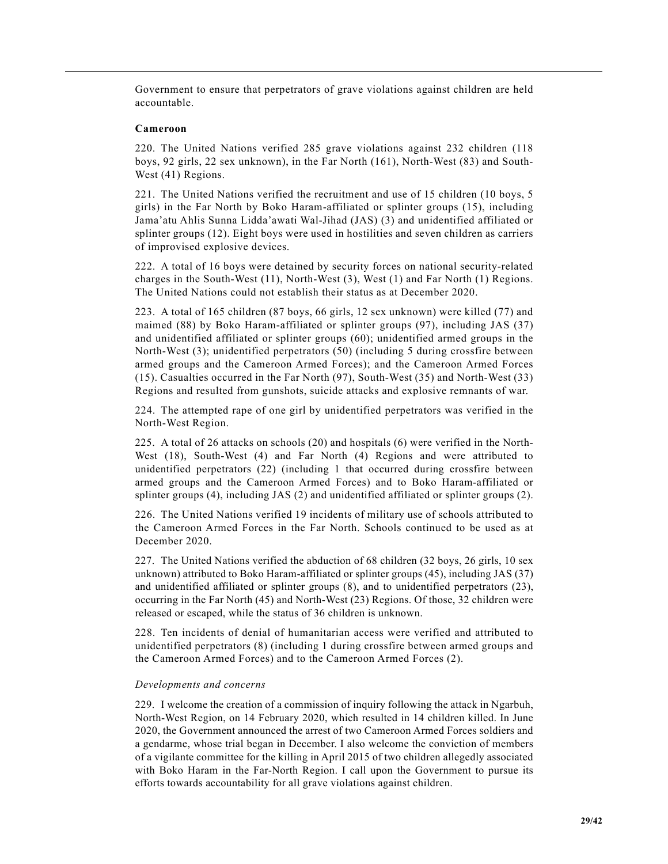Government to ensure that perpetrators of grave violations against children are held accountable.

#### **Cameroon**

220. The United Nations verified 285 grave violations against 232 children (118 boys, 92 girls, 22 sex unknown), in the Far North (161), North-West (83) and South-West (41) Regions.

221. The United Nations verified the recruitment and use of 15 children (10 boys, 5 girls) in the Far North by Boko Haram-affiliated or splinter groups (15), including Jama'atu Ahlis Sunna Lidda'awati Wal-Jihad (JAS) (3) and unidentified affiliated or splinter groups (12). Eight boys were used in hostilities and seven children as carriers of improvised explosive devices.

222. A total of 16 boys were detained by security forces on national security-related charges in the South-West (11), North-West (3), West (1) and Far North (1) Regions. The United Nations could not establish their status as at December 2020.

223. A total of 165 children (87 boys, 66 girls, 12 sex unknown) were killed (77) and maimed (88) by Boko Haram-affiliated or splinter groups (97), including JAS (37) and unidentified affiliated or splinter groups (60); unidentified armed groups in the North-West (3); unidentified perpetrators (50) (including 5 during crossfire between armed groups and the Cameroon Armed Forces); and the Cameroon Armed Forces (15). Casualties occurred in the Far North (97), South-West (35) and North-West (33) Regions and resulted from gunshots, suicide attacks and explosive remnants of war.

224. The attempted rape of one girl by unidentified perpetrators was verified in the North-West Region.

225. A total of 26 attacks on schools (20) and hospitals (6) were verified in the North-West (18), South-West (4) and Far North (4) Regions and were attributed to unidentified perpetrators (22) (including 1 that occurred during crossfire between armed groups and the Cameroon Armed Forces) and to Boko Haram-affiliated or splinter groups (4), including JAS (2) and unidentified affiliated or splinter groups (2).

226. The United Nations verified 19 incidents of military use of schools attributed to the Cameroon Armed Forces in the Far North. Schools continued to be used as at December 2020.

227. The United Nations verified the abduction of 68 children (32 boys, 26 girls, 10 sex unknown) attributed to Boko Haram-affiliated or splinter groups (45), including JAS (37) and unidentified affiliated or splinter groups (8), and to unidentified perpetrators (23), occurring in the Far North (45) and North-West (23) Regions. Of those, 32 children were released or escaped, while the status of 36 children is unknown.

228. Ten incidents of denial of humanitarian access were verified and attributed to unidentified perpetrators (8) (including 1 during crossfire between armed groups and the Cameroon Armed Forces) and to the Cameroon Armed Forces (2).

#### *Developments and concerns*

229. I welcome the creation of a commission of inquiry following the attack in Ngarbuh, North-West Region, on 14 February 2020, which resulted in 14 children killed. In June 2020, the Government announced the arrest of two Cameroon Armed Forces soldiers and a gendarme, whose trial began in December. I also welcome the conviction of members of a vigilante committee for the killing in April 2015 of two children allegedly associated with Boko Haram in the Far-North Region. I call upon the Government to pursue its efforts towards accountability for all grave violations against children.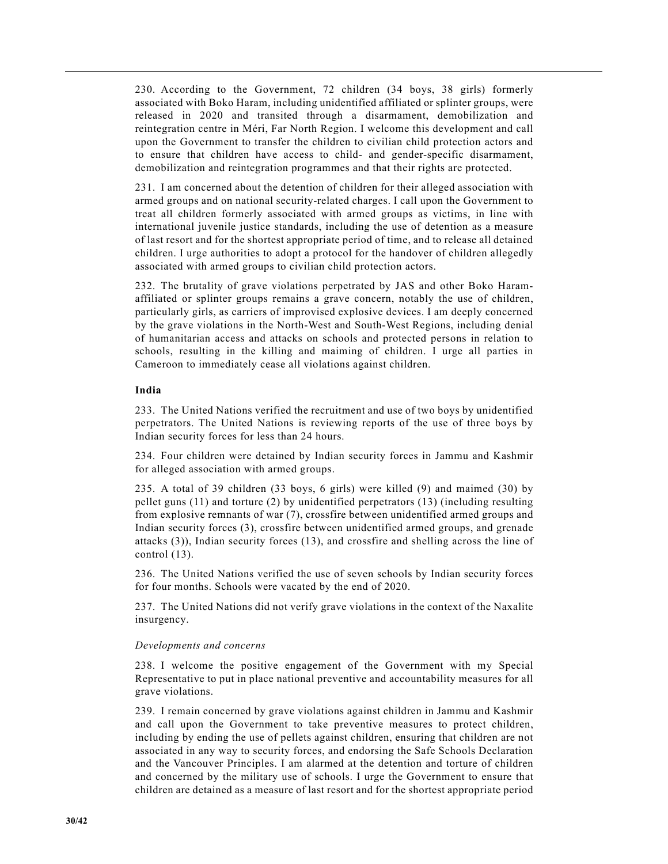230. According to the Government, 72 children (34 boys, 38 girls) formerly associated with Boko Haram, including unidentified affiliated or splinter groups, were released in 2020 and transited through a disarmament, demobilization and reintegration centre in Méri, Far North Region. I welcome this development and call upon the Government to transfer the children to civilian child protection actors and to ensure that children have access to child- and gender-specific disarmament, demobilization and reintegration programmes and that their rights are protected.

231. I am concerned about the detention of children for their alleged association with armed groups and on national security-related charges. I call upon the Government to treat all children formerly associated with armed groups as victims, in line with international juvenile justice standards, including the use of detention as a measure of last resort and for the shortest appropriate period of time, and to release all detained children. I urge authorities to adopt a protocol for the handover of children allegedly associated with armed groups to civilian child protection actors.

232. The brutality of grave violations perpetrated by JAS and other Boko Haramaffiliated or splinter groups remains a grave concern, notably the use of children, particularly girls, as carriers of improvised explosive devices. I am deeply concerned by the grave violations in the North-West and South-West Regions, including denial of humanitarian access and attacks on schools and protected persons in relation to schools, resulting in the killing and maiming of children. I urge all parties in Cameroon to immediately cease all violations against children.

## **India**

233. The United Nations verified the recruitment and use of two boys by unidentified perpetrators. The United Nations is reviewing reports of the use of three boys by Indian security forces for less than 24 hours.

234. Four children were detained by Indian security forces in Jammu and Kashmir for alleged association with armed groups.

235. A total of 39 children (33 boys, 6 girls) were killed (9) and maimed (30) by pellet guns (11) and torture (2) by unidentified perpetrators (13) (including resulting from explosive remnants of war (7), crossfire between unidentified armed groups and Indian security forces (3), crossfire between unidentified armed groups, and grenade attacks (3)), Indian security forces (13), and crossfire and shelling across the line of control (13).

236. The United Nations verified the use of seven schools by Indian security forces for four months. Schools were vacated by the end of 2020.

237. The United Nations did not verify grave violations in the context of the Naxalite insurgency.

#### *Developments and concerns*

238. I welcome the positive engagement of the Government with my Special Representative to put in place national preventive and accountability measures for all grave violations.

239. I remain concerned by grave violations against children in Jammu and Kashmir and call upon the Government to take preventive measures to protect children, including by ending the use of pellets against children, ensuring that children are not associated in any way to security forces, and endorsing the Safe Schools Declaration and the Vancouver Principles. I am alarmed at the detention and torture of children and concerned by the military use of schools. I urge the Government to ensure that children are detained as a measure of last resort and for the shortest appropriate period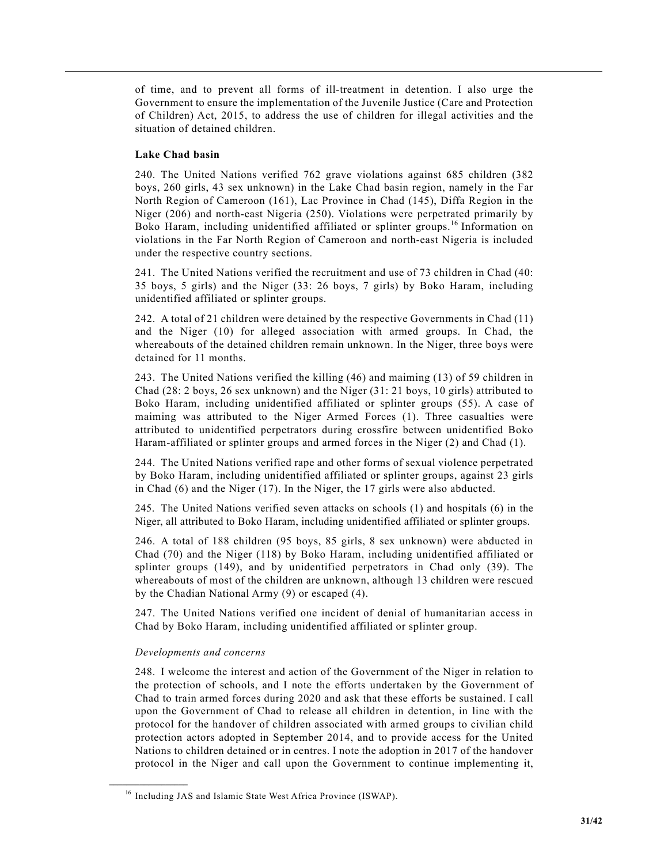of time, and to prevent all forms of ill-treatment in detention. I also urge the Government to ensure the implementation of the Juvenile Justice (Care and Protection of Children) Act, 2015, to address the use of children for illegal activities and the situation of detained children.

# **Lake Chad basin**

240. The United Nations verified 762 grave violations against 685 children (382 boys, 260 girls, 43 sex unknown) in the Lake Chad basin region, namely in the Far North Region of Cameroon (161), Lac Province in Chad (145), Diffa Region in the Niger (206) and north-east Nigeria (250). Violations were perpetrated primarily by Boko Haram, including unidentified affiliated or splinter groups.16 Information on violations in the Far North Region of Cameroon and north-east Nigeria is included under the respective country sections.

241. The United Nations verified the recruitment and use of 73 children in Chad (40: 35 boys, 5 girls) and the Niger (33: 26 boys, 7 girls) by Boko Haram, including unidentified affiliated or splinter groups.

242. A total of 21 children were detained by the respective Governments in Chad (11) and the Niger (10) for alleged association with armed groups. In Chad, the whereabouts of the detained children remain unknown. In the Niger, three boys were detained for 11 months.

243. The United Nations verified the killing (46) and maiming (13) of 59 children in Chad (28: 2 boys, 26 sex unknown) and the Niger (31: 21 boys, 10 girls) attributed to Boko Haram, including unidentified affiliated or splinter groups (55). A case of maiming was attributed to the Niger Armed Forces (1). Three casualties were attributed to unidentified perpetrators during crossfire between unidentified Boko Haram-affiliated or splinter groups and armed forces in the Niger (2) and Chad (1).

244. The United Nations verified rape and other forms of sexual violence perpetrated by Boko Haram, including unidentified affiliated or splinter groups, against 23 girls in Chad (6) and the Niger (17). In the Niger, the 17 girls were also abducted.

245. The United Nations verified seven attacks on schools (1) and hospitals (6) in the Niger, all attributed to Boko Haram, including unidentified affiliated or splinter groups.

246. A total of 188 children (95 boys, 85 girls, 8 sex unknown) were abducted in Chad (70) and the Niger (118) by Boko Haram, including unidentified affiliated or splinter groups (149), and by unidentified perpetrators in Chad only (39). The whereabouts of most of the children are unknown, although 13 children were rescued by the Chadian National Army (9) or escaped (4).

247. The United Nations verified one incident of denial of humanitarian access in Chad by Boko Haram, including unidentified affiliated or splinter group.

## *Developments and concerns*

**\_\_\_\_\_\_\_\_\_\_\_\_\_\_\_\_\_\_**

248. I welcome the interest and action of the Government of the Niger in relation to the protection of schools, and I note the efforts undertaken by the Government of Chad to train armed forces during 2020 and ask that these efforts be sustained. I call upon the Government of Chad to release all children in detention, in line with the protocol for the handover of children associated with armed groups to civilian child protection actors adopted in September 2014, and to provide access for the United Nations to children detained or in centres. I note the adoption in 2017 of the handover protocol in the Niger and call upon the Government to continue implementing it,

<sup>&</sup>lt;sup>16</sup> Including JAS and Islamic State West Africa Province (ISWAP).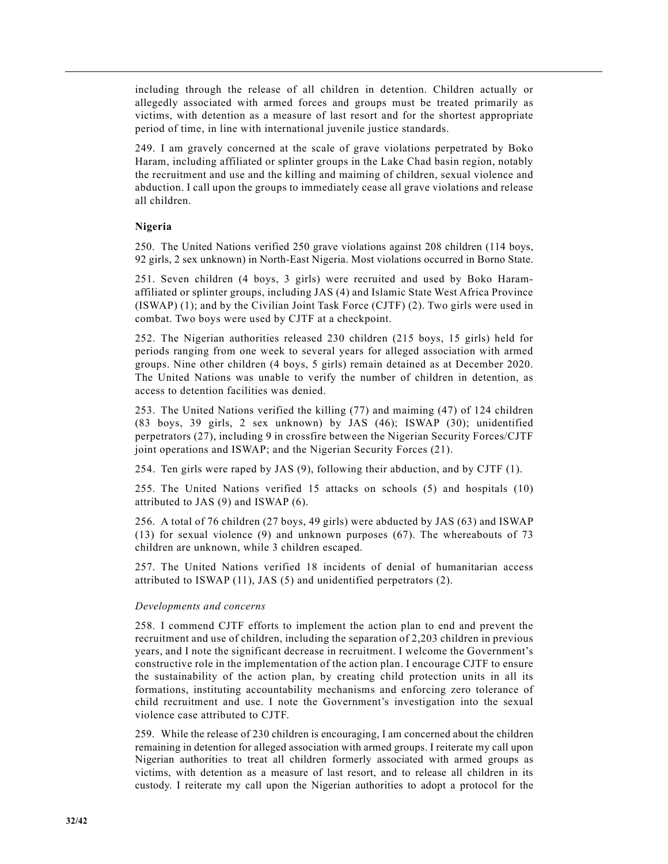including through the release of all children in detention. Children actually or allegedly associated with armed forces and groups must be treated primarily as victims, with detention as a measure of last resort and for the shortest appropriate period of time, in line with international juvenile justice standards.

249. I am gravely concerned at the scale of grave violations perpetrated by Boko Haram, including affiliated or splinter groups in the Lake Chad basin region, notably the recruitment and use and the killing and maiming of children, sexual violence and abduction. I call upon the groups to immediately cease all grave violations and release all children.

## **Nigeria**

250. The United Nations verified 250 grave violations against 208 children (114 boys, 92 girls, 2 sex unknown) in North-East Nigeria. Most violations occurred in Borno State.

251. Seven children (4 boys, 3 girls) were recruited and used by Boko Haramaffiliated or splinter groups, including JAS (4) and Islamic State West Africa Province (ISWAP) (1); and by the Civilian Joint Task Force (CJTF) (2). Two girls were used in combat. Two boys were used by CJTF at a checkpoint.

252. The Nigerian authorities released 230 children (215 boys, 15 girls) held for periods ranging from one week to several years for alleged association with armed groups. Nine other children (4 boys, 5 girls) remain detained as at December 2020. The United Nations was unable to verify the number of children in detention, as access to detention facilities was denied.

253. The United Nations verified the killing (77) and maiming (47) of 124 children (83 boys, 39 girls, 2 sex unknown) by JAS (46); ISWAP (30); unidentified perpetrators (27), including 9 in crossfire between the Nigerian Security Forces/CJTF joint operations and ISWAP; and the Nigerian Security Forces (21).

254. Ten girls were raped by JAS (9), following their abduction, and by CJTF (1).

255. The United Nations verified 15 attacks on schools (5) and hospitals (10) attributed to JAS (9) and ISWAP (6).

256. A total of 76 children (27 boys, 49 girls) were abducted by JAS (63) and ISWAP (13) for sexual violence (9) and unknown purposes (67). The whereabouts of 73 children are unknown, while 3 children escaped.

257. The United Nations verified 18 incidents of denial of humanitarian access attributed to ISWAP (11), JAS (5) and unidentified perpetrators (2).

## *Developments and concerns*

258. I commend CJTF efforts to implement the action plan to end and prevent the recruitment and use of children, including the separation of 2,203 children in previous years, and I note the significant decrease in recruitment. I welcome the Government's constructive role in the implementation of the action plan. I encourage CJTF to ensure the sustainability of the action plan, by creating child protection units in all its formations, instituting accountability mechanisms and enforcing zero tolerance of child recruitment and use. I note the Government's investigation into the sexual violence case attributed to CJTF.

259. While the release of 230 children is encouraging, I am concerned about the children remaining in detention for alleged association with armed groups. I reiterate my call upon Nigerian authorities to treat all children formerly associated with armed groups as victims, with detention as a measure of last resort, and to release all children in its custody. I reiterate my call upon the Nigerian authorities to adopt a protocol for the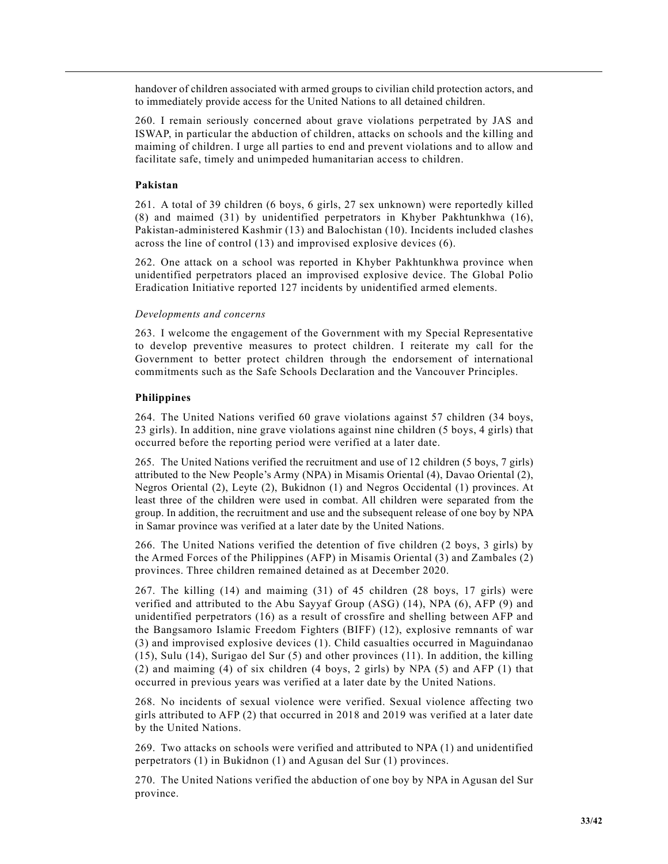handover of children associated with armed groups to civilian child protection actors, and to immediately provide access for the United Nations to all detained children.

260. I remain seriously concerned about grave violations perpetrated by JAS and ISWAP, in particular the abduction of children, attacks on schools and the killing and maiming of children. I urge all parties to end and prevent violations and to allow and facilitate safe, timely and unimpeded humanitarian access to children.

#### **Pakistan**

261. A total of 39 children (6 boys, 6 girls, 27 sex unknown) were reportedly killed (8) and maimed (31) by unidentified perpetrators in Khyber Pakhtunkhwa (16), Pakistan-administered Kashmir (13) and Balochistan (10). Incidents included clashes across the line of control (13) and improvised explosive devices (6).

262. One attack on a school was reported in Khyber Pakhtunkhwa province when unidentified perpetrators placed an improvised explosive device. The Global Polio Eradication Initiative reported 127 incidents by unidentified armed elements.

#### *Developments and concerns*

263. I welcome the engagement of the Government with my Special Representative to develop preventive measures to protect children. I reiterate my call for the Government to better protect children through the endorsement of international commitments such as the Safe Schools Declaration and the Vancouver Principles.

#### **Philippines**

264. The United Nations verified 60 grave violations against 57 children (34 boys, 23 girls). In addition, nine grave violations against nine children (5 boys, 4 girls) that occurred before the reporting period were verified at a later date.

265. The United Nations verified the recruitment and use of 12 children (5 boys, 7 girls) attributed to the New People's Army (NPA) in Misamis Oriental (4), Davao Oriental (2), Negros Oriental (2), Leyte (2), Bukidnon (1) and Negros Occidental (1) provinces. At least three of the children were used in combat. All children were separated from the group. In addition, the recruitment and use and the subsequent release of one boy by NPA in Samar province was verified at a later date by the United Nations.

266. The United Nations verified the detention of five children (2 boys, 3 girls) by the Armed Forces of the Philippines (AFP) in Misamis Oriental (3) and Zambales (2) provinces. Three children remained detained as at December 2020.

267. The killing (14) and maiming (31) of 45 children (28 boys, 17 girls) were verified and attributed to the Abu Sayyaf Group (ASG) (14), NPA (6), AFP (9) and unidentified perpetrators (16) as a result of crossfire and shelling between AFP and the Bangsamoro Islamic Freedom Fighters (BIFF) (12), explosive remnants of war (3) and improvised explosive devices (1). Child casualties occurred in Maguindanao (15), Sulu (14), Surigao del Sur (5) and other provinces (11). In addition, the killing (2) and maiming (4) of six children (4 boys, 2 girls) by NPA (5) and AFP (1) that occurred in previous years was verified at a later date by the United Nations.

268. No incidents of sexual violence were verified. Sexual violence affecting two girls attributed to AFP (2) that occurred in 2018 and 2019 was verified at a later date by the United Nations.

269. Two attacks on schools were verified and attributed to NPA (1) and unidentified perpetrators (1) in Bukidnon (1) and Agusan del Sur (1) provinces.

270. The United Nations verified the abduction of one boy by NPA in Agusan del Sur province.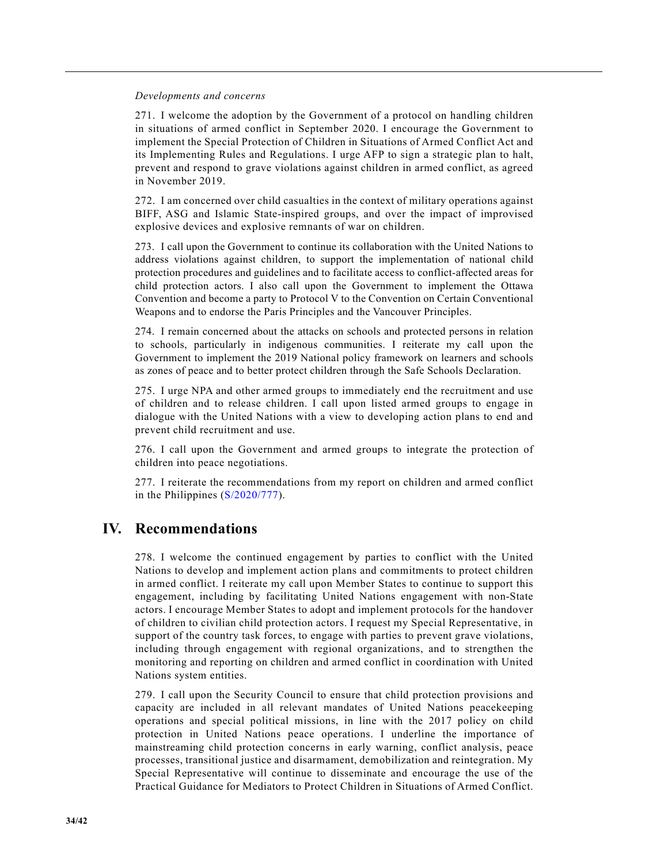#### *Developments and concerns*

271. I welcome the adoption by the Government of a protocol on handling children in situations of armed conflict in September 2020. I encourage the Government to implement the Special Protection of Children in Situations of Armed Conflict Act and its Implementing Rules and Regulations. I urge AFP to sign a strategic plan to halt, prevent and respond to grave violations against children in armed conflict, as agreed in November 2019.

272. I am concerned over child casualties in the context of military operations against BIFF, ASG and Islamic State-inspired groups, and over the impact of improvised explosive devices and explosive remnants of war on children.

273. I call upon the Government to continue its collaboration with the United Nations to address violations against children, to support the implementation of national child protection procedures and guidelines and to facilitate access to conflict-affected areas for child protection actors. I also call upon the Government to implement the Ottawa Convention and become a party to Protocol V to the Convention on Certain Conventional Weapons and to endorse the Paris Principles and the Vancouver Principles.

274. I remain concerned about the attacks on schools and protected persons in relation to schools, particularly in indigenous communities. I reiterate my call upon the Government to implement the 2019 National policy framework on learners and schools as zones of peace and to better protect children through the Safe Schools Declaration.

275. I urge NPA and other armed groups to immediately end the recruitment and use of children and to release children. I call upon listed armed groups to engage in dialogue with the United Nations with a view to developing action plans to end and prevent child recruitment and use.

276. I call upon the Government and armed groups to integrate the protection of children into peace negotiations.

277. I reiterate the recommendations from my report on children and armed conflict in the Philippines (S/2020/777).

# **IV. Recommendations**

278. I welcome the continued engagement by parties to conflict with the United Nations to develop and implement action plans and commitments to protect children in armed conflict. I reiterate my call upon Member States to continue to support this engagement, including by facilitating United Nations engagement with non-State actors. I encourage Member States to adopt and implement protocols for the handover of children to civilian child protection actors. I request my Special Representative, in support of the country task forces, to engage with parties to prevent grave violations, including through engagement with regional organizations, and to strengthen the monitoring and reporting on children and armed conflict in coordination with United Nations system entities.

279. I call upon the Security Council to ensure that child protection provisions and capacity are included in all relevant mandates of United Nations peacekeeping operations and special political missions, in line with the 2017 policy on child protection in United Nations peace operations. I underline the importance of mainstreaming child protection concerns in early warning, conflict analysis, peace processes, transitional justice and disarmament, demobilization and reintegration. My Special Representative will continue to disseminate and encourage the use of the Practical Guidance for Mediators to Protect Children in Situations of Armed Conflict.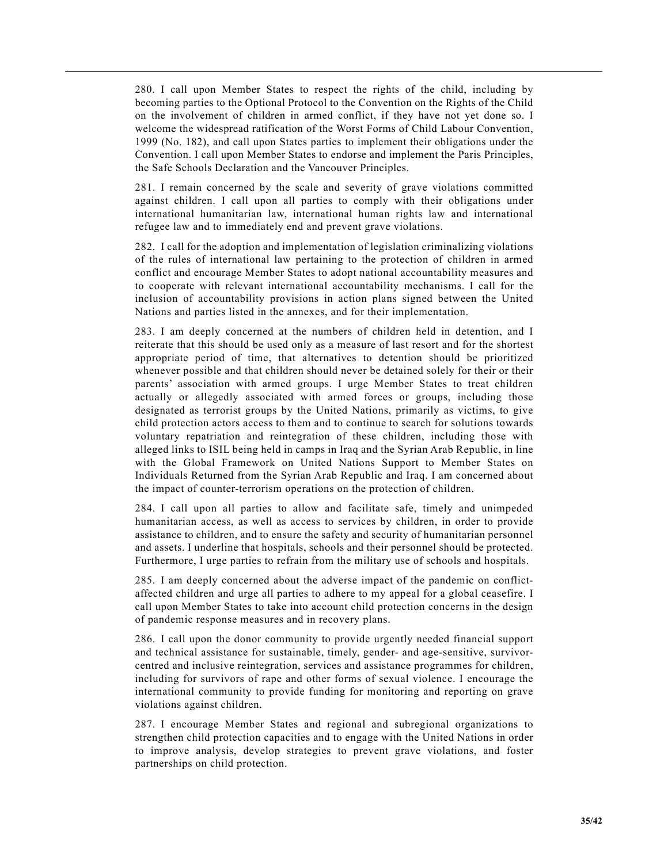280. I call upon Member States to respect the rights of the child, including by becoming parties to the Optional Protocol to the Convention on the Rights of the Child on the involvement of children in armed conflict, if they have not yet done so. I welcome the widespread ratification of the Worst Forms of Child Labour Convention, 1999 (No. 182), and call upon States parties to implement their obligations under the Convention. I call upon Member States to endorse and implement the Paris Principles, the Safe Schools Declaration and the Vancouver Principles.

281. I remain concerned by the scale and severity of grave violations committed against children. I call upon all parties to comply with their obligations under international humanitarian law, international human rights law and international refugee law and to immediately end and prevent grave violations.

282. I call for the adoption and implementation of legislation criminalizing violations of the rules of international law pertaining to the protection of children in armed conflict and encourage Member States to adopt national accountability measures and to cooperate with relevant international accountability mechanisms. I call for the inclusion of accountability provisions in action plans signed between the United Nations and parties listed in the annexes, and for their implementation.

283. I am deeply concerned at the numbers of children held in detention, and I reiterate that this should be used only as a measure of last resort and for the shortest appropriate period of time, that alternatives to detention should be prioritized whenever possible and that children should never be detained solely for their or their parents' association with armed groups. I urge Member States to treat children actually or allegedly associated with armed forces or groups, including those designated as terrorist groups by the United Nations, primarily as victims, to give child protection actors access to them and to continue to search for solutions towards voluntary repatriation and reintegration of these children, including those with alleged links to ISIL being held in camps in Iraq and the Syrian Arab Republic, in line with the Global Framework on United Nations Support to Member States on Individuals Returned from the Syrian Arab Republic and Iraq. I am concerned about the impact of counter-terrorism operations on the protection of children.

284. I call upon all parties to allow and facilitate safe, timely and unimpeded humanitarian access, as well as access to services by children, in order to provide assistance to children, and to ensure the safety and security of humanitarian personnel and assets. I underline that hospitals, schools and their personnel should be protected. Furthermore, I urge parties to refrain from the military use of schools and hospitals.

285. I am deeply concerned about the adverse impact of the pandemic on conflictaffected children and urge all parties to adhere to my appeal for a global ceasefire. I call upon Member States to take into account child protection concerns in the design of pandemic response measures and in recovery plans.

286. I call upon the donor community to provide urgently needed financial support and technical assistance for sustainable, timely, gender- and age-sensitive, survivorcentred and inclusive reintegration, services and assistance programmes for children, including for survivors of rape and other forms of sexual violence. I encourage the international community to provide funding for monitoring and reporting on grave violations against children.

287. I encourage Member States and regional and subregional organizations to strengthen child protection capacities and to engage with the United Nations in order to improve analysis, develop strategies to prevent grave violations, and foster partnerships on child protection.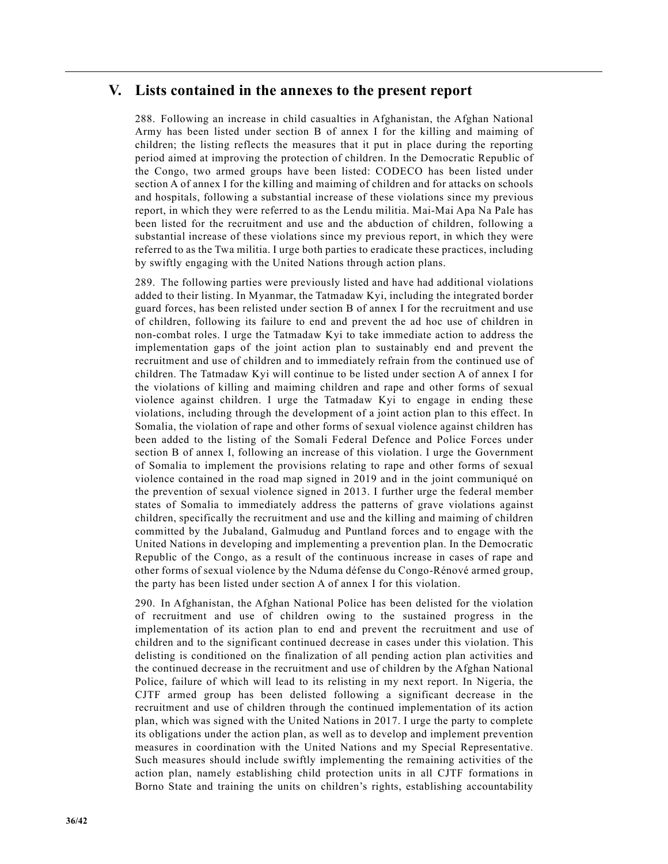# **V. Lists contained in the annexes to the present report**

288. Following an increase in child casualties in Afghanistan, the Afghan National Army has been listed under section B of annex I for the killing and maiming of children; the listing reflects the measures that it put in place during the reporting period aimed at improving the protection of children. In the Democratic Republic of the Congo, two armed groups have been listed: CODECO has been listed under section A of annex I for the killing and maiming of children and for attacks on schools and hospitals, following a substantial increase of these violations since my previous report, in which they were referred to as the Lendu militia. Mai-Mai Apa Na Pale has been listed for the recruitment and use and the abduction of children, following a substantial increase of these violations since my previous report, in which they were referred to as the Twa militia. I urge both parties to eradicate these practices, including by swiftly engaging with the United Nations through action plans.

289. The following parties were previously listed and have had additional violations added to their listing. In Myanmar, the Tatmadaw Kyi, including the integrated border guard forces, has been relisted under section B of annex I for the recruitment and use of children, following its failure to end and prevent the ad hoc use of children in non-combat roles. I urge the Tatmadaw Kyi to take immediate action to address the implementation gaps of the joint action plan to sustainably end and prevent the recruitment and use of children and to immediately refrain from the continued use of children. The Tatmadaw Kyi will continue to be listed under section A of annex I for the violations of killing and maiming children and rape and other forms of sexual violence against children. I urge the Tatmadaw Kyi to engage in ending these violations, including through the development of a joint action plan to this effect. In Somalia, the violation of rape and other forms of sexual violence against children has been added to the listing of the Somali Federal Defence and Police Forces under section B of annex I, following an increase of this violation. I urge the Government of Somalia to implement the provisions relating to rape and other forms of sexual violence contained in the road map signed in 2019 and in the joint communiqué on the prevention of sexual violence signed in 2013. I further urge the federal member states of Somalia to immediately address the patterns of grave violations against children, specifically the recruitment and use and the killing and maiming of children committed by the Jubaland, Galmudug and Puntland forces and to engage with the United Nations in developing and implementing a prevention plan. In the Democratic Republic of the Congo, as a result of the continuous increase in cases of rape and other forms of sexual violence by the Nduma défense du Congo-Rénové armed group, the party has been listed under section A of annex I for this violation.

290. In Afghanistan, the Afghan National Police has been delisted for the violation of recruitment and use of children owing to the sustained progress in the implementation of its action plan to end and prevent the recruitment and use of children and to the significant continued decrease in cases under this violation. This delisting is conditioned on the finalization of all pending action plan activities and the continued decrease in the recruitment and use of children by the Afghan National Police, failure of which will lead to its relisting in my next report. In Nigeria, the CJTF armed group has been delisted following a significant decrease in the recruitment and use of children through the continued implementation of its action plan, which was signed with the United Nations in 2017. I urge the party to complete its obligations under the action plan, as well as to develop and implement prevention measures in coordination with the United Nations and my Special Representative. Such measures should include swiftly implementing the remaining activities of the action plan, namely establishing child protection units in all CJTF formations in Borno State and training the units on children's rights, establishing accountability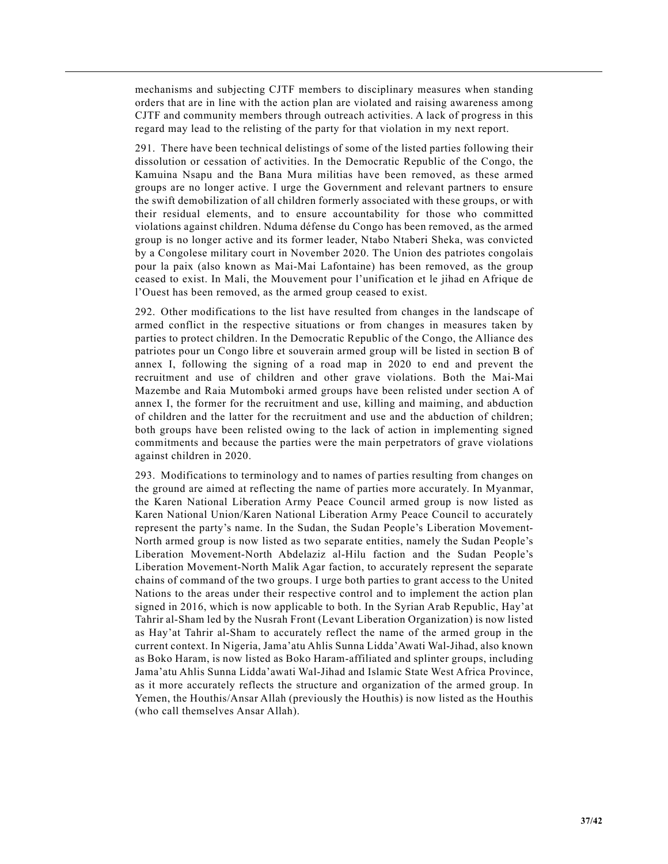mechanisms and subjecting CJTF members to disciplinary measures when standing orders that are in line with the action plan are violated and raising awareness among CJTF and community members through outreach activities. A lack of progress in this regard may lead to the relisting of the party for that violation in my next report.

291. There have been technical delistings of some of the listed parties following their dissolution or cessation of activities. In the Democratic Republic of the Congo, the Kamuina Nsapu and the Bana Mura militias have been removed, as these armed groups are no longer active. I urge the Government and relevant partners to ensure the swift demobilization of all children formerly associated with these groups, or with their residual elements, and to ensure accountability for those who committed violations against children. Nduma défense du Congo has been removed, as the armed group is no longer active and its former leader, Ntabo Ntaberi Sheka, was convicted by a Congolese military court in November 2020. The Union des patriotes congolais pour la paix (also known as Mai-Mai Lafontaine) has been removed, as the group ceased to exist. In Mali, the Mouvement pour l'unification et le jihad en Afrique de l'Ouest has been removed, as the armed group ceased to exist.

292. Other modifications to the list have resulted from changes in the landscape of armed conflict in the respective situations or from changes in measures taken by parties to protect children. In the Democratic Republic of the Congo, the Alliance des patriotes pour un Congo libre et souverain armed group will be listed in section B of annex I, following the signing of a road map in 2020 to end and prevent the recruitment and use of children and other grave violations. Both the Mai-Mai Mazembe and Raia Mutomboki armed groups have been relisted under section A of annex I, the former for the recruitment and use, killing and maiming, and abduction of children and the latter for the recruitment and use and the abduction of children; both groups have been relisted owing to the lack of action in implementing signed commitments and because the parties were the main perpetrators of grave violations against children in 2020.

293. Modifications to terminology and to names of parties resulting from changes on the ground are aimed at reflecting the name of parties more accurately. In Myanmar, the Karen National Liberation Army Peace Council armed group is now listed as Karen National Union/Karen National Liberation Army Peace Council to accurately represent the party's name. In the Sudan, the Sudan People's Liberation Movement-North armed group is now listed as two separate entities, namely the Sudan People's Liberation Movement-North Abdelaziz al-Hilu faction and the Sudan People's Liberation Movement-North Malik Agar faction, to accurately represent the separate chains of command of the two groups. I urge both parties to grant access to the United Nations to the areas under their respective control and to implement the action plan signed in 2016, which is now applicable to both. In the Syrian Arab Republic, Hay'at Tahrir al-Sham led by the Nusrah Front (Levant Liberation Organization) is now listed as Hay'at Tahrir al-Sham to accurately reflect the name of the armed group in the current context. In Nigeria, Jama'atu Ahlis Sunna Lidda'Awati Wal-Jihad, also known as Boko Haram, is now listed as Boko Haram-affiliated and splinter groups, including Jama'atu Ahlis Sunna Lidda'awati Wal-Jihad and Islamic State West Africa Province, as it more accurately reflects the structure and organization of the armed group. In Yemen, the Houthis/Ansar Allah (previously the Houthis) is now listed as the Houthis (who call themselves Ansar Allah).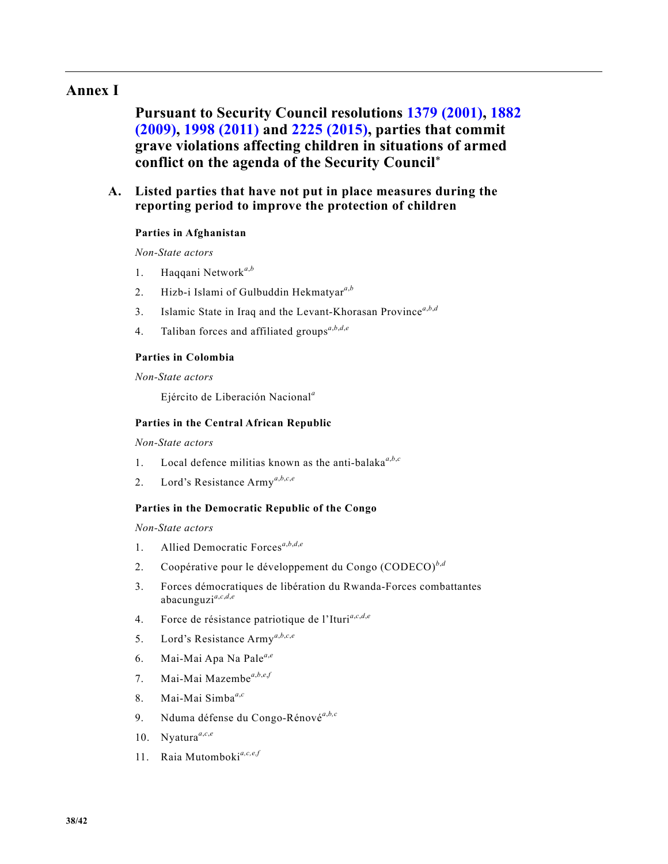# **Annex I**

**Pursuant to Security Council resolutions 1379 (2001), 1882 (2009), 1998 (2011) and 2225 (2015), parties that commit grave violations affecting children in situations of armed conflict on the agenda of the Security Council**\*

# **A. Listed parties that have not put in place measures during the reporting period to improve the protection of children**

# **Parties in Afghanistan**

*Non-State actors*

- 1. Haqqani Network*<sup>a</sup>*,*<sup>b</sup>*
- 2. Hizb-i Islami of Gulbuddin Hekmatyar*<sup>a</sup>*,*<sup>b</sup>*
- 3. Islamic State in Iraq and the Levant-Khorasan Province*<sup>a</sup>*,*b*,*<sup>d</sup>*
- 4. Taliban forces and affiliated groups*<sup>a</sup>*,*b*,*d*,*<sup>e</sup>*

## **Parties in Colombia**

*Non-State actors*

Ejército de Liberación Nacional*<sup>a</sup>*

#### **Parties in the Central African Republic**

*Non-State actors*

- 1. Local defence militias known as the anti-balaka*<sup>a</sup>*,*b*,*<sup>c</sup>*
- 2. Lord's Resistance Army*<sup>a</sup>*,*b*,*c*,*<sup>e</sup>*

## **Parties in the Democratic Republic of the Congo**

*Non-State actors*

- 1. Allied Democratic Forces*<sup>a</sup>*,*b*,*d*,*<sup>e</sup>*
- 2. Coopérative pour le développement du Congo (CODECO)*<sup>b</sup>*,*<sup>d</sup>*
- 3. Forces démocratiques de libération du Rwanda-Forces combattantes abacunguzi*<sup>a</sup>*,*c*,*d*,*<sup>e</sup>*
- 4. Force de résistance patriotique de l'Ituri*<sup>a</sup>*,*c*,*d*,*<sup>e</sup>*
- 5. Lord's Resistance Army*<sup>a</sup>*,*b*,*c*,*<sup>e</sup>*
- 6. Mai-Mai Apa Na Pale*<sup>a</sup>*,*<sup>e</sup>*
- 7. Mai-Mai Mazembe<sup>a,b,e,f</sup>
- 8. Mai-Mai Simba*<sup>a</sup>*,*<sup>c</sup>*
- 9. Nduma défense du Congo-Rénové*<sup>a</sup>*,*b,c*
- 10. Nyatura<sup>a,c,e</sup>
- 11. Raia Mutomboki*a,c,e,f*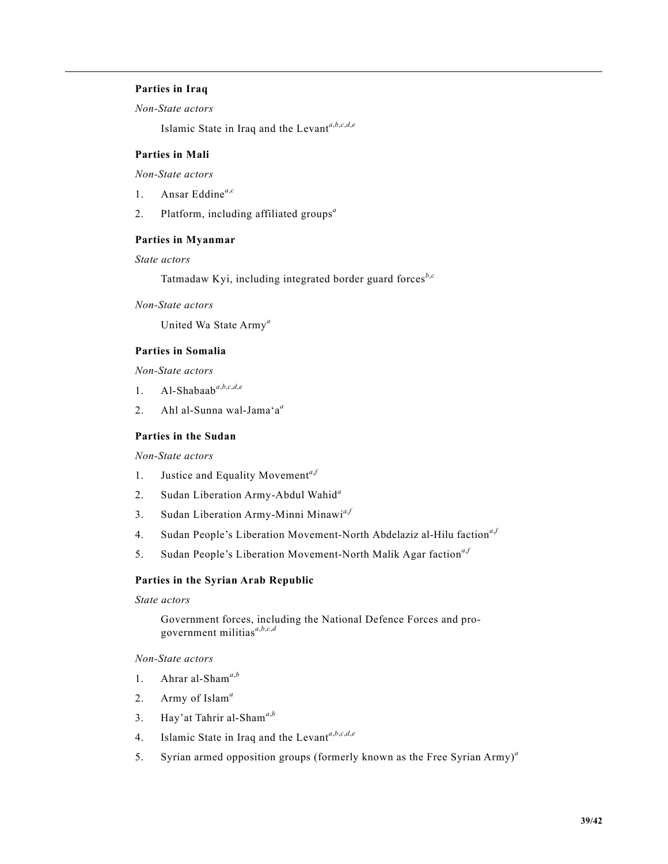# **Parties in Iraq**

*Non-State actors*

Islamic State in Iraq and the Levant*<sup>a</sup>*,*b*,*c*,*d*,*<sup>e</sup>*

# **Parties in Mali**

*Non-State actors*

- 1. Ansar Eddine*<sup>a</sup>*,*<sup>c</sup>*
- 2. Platform, including affiliated groups*<sup>a</sup>*

# **Parties in Myanmar**

# *State actors*

Tatmadaw Kyi, including integrated border guard forces*<sup>b</sup>*,*<sup>c</sup>*

*Non-State actors*

United Wa State Army*<sup>a</sup>*

# **Parties in Somalia**

*Non-State actors*

- 1. Al-Shabaab $a,b,c,d,e$
- 2. Ahl al-Sunna wal-Jama'a*<sup>a</sup>*

# **Parties in the Sudan**

*Non-State actors*

- 1. Justice and Equality Movement<sup>a,*f*</sup>
- 2. Sudan Liberation Army-Abdul Wahid*<sup>a</sup>*
- 3. Sudan Liberation Army-Minni Minawi*<sup>a</sup>*,*<sup>f</sup>*
- 4. Sudan People's Liberation Movement-North Abdelaziz al-Hilu faction<sup>a,*f*</sup>
- 5. Sudan People's Liberation Movement-North Malik Agar faction<sup>a,*f*</sup>

#### **Parties in the Syrian Arab Republic**

*State actors*

Government forces, including the National Defence Forces and progovernment militias*<sup>a</sup>*,*b*,*c*,*<sup>d</sup>*

*Non-State actors*

- 1. Ahrar al-Sham*<sup>a</sup>*,*<sup>b</sup>*
- 2. Army of Islam*<sup>a</sup>*
- 3. Hay'at Tahrir al-Sham*<sup>a</sup>*,*<sup>b</sup>*
- 4. Islamic State in Iraq and the Levant*<sup>a</sup>*,*b*,*c*,*d*,*<sup>e</sup>*
- 5. Syrian armed opposition groups (formerly known as the Free Syrian Army)*<sup>a</sup>*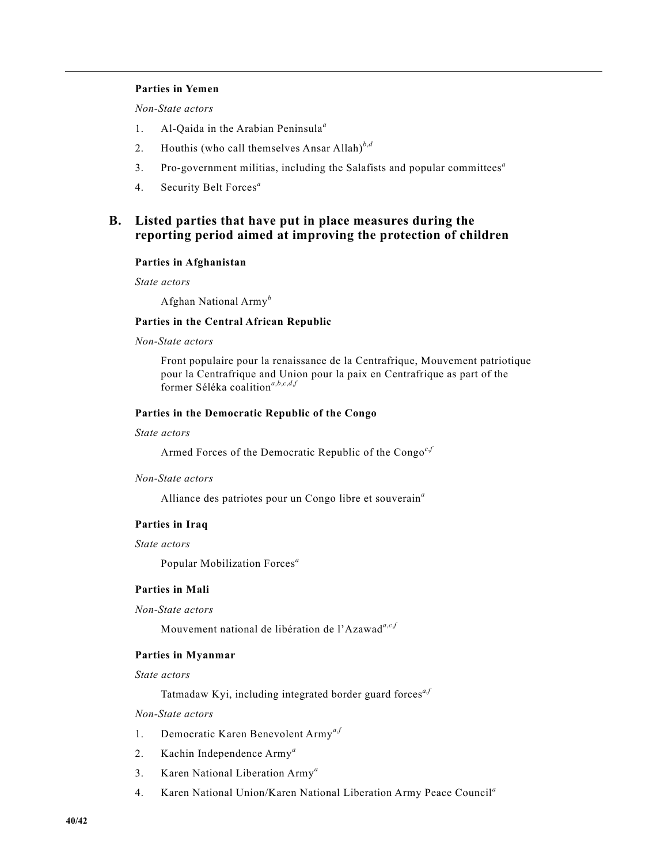## **Parties in Yemen**

*Non-State actors*

- 1. Al-Qaida in the Arabian Peninsula*<sup>a</sup>*
- 2. Houthis (who call themselves Ansar Allah)*<sup>b</sup>*,*<sup>d</sup>*
- 3. Pro-government militias, including the Salafists and popular committees*<sup>a</sup>*
- 4. Security Belt Forces*<sup>a</sup>*

# **B. Listed parties that have put in place measures during the reporting period aimed at improving the protection of children**

#### **Parties in Afghanistan**

*State actors*

Afghan National Army*<sup>b</sup>*

# **Parties in the Central African Republic**

# *Non-State actors*

Front populaire pour la renaissance de la Centrafrique, Mouvement patriotique pour la Centrafrique and Union pour la paix en Centrafrique as part of the former Séléka coalition*<sup>a</sup>*,*b*,*c*,*d*,*<sup>f</sup>*

## **Parties in the Democratic Republic of the Congo**

#### *State actors*

Armed Forces of the Democratic Republic of the Congo<sup>c,*f*</sup>

#### *Non-State actors*

Alliance des patriotes pour un Congo libre et souverain*<sup>a</sup>*

#### **Parties in Iraq**

#### *State actors*

Popular Mobilization Forces*<sup>a</sup>*

#### **Parties in Mali**

#### *Non-State actors*

Mouvement national de libération de l'Azawad*<sup>a</sup>*,*c*,*<sup>f</sup>*

#### **Parties in Myanmar**

*State actors*

Tatmadaw Kyi, including integrated border guard forces*a,f*

# *Non-State actors*

- 1. Democratic Karen Benevolent Army*a,f*
- 2. Kachin Independence Army*<sup>a</sup>*
- 3. Karen National Liberation Army*<sup>a</sup>*
- 4. Karen National Union/Karen National Liberation Army Peace Council*<sup>a</sup>*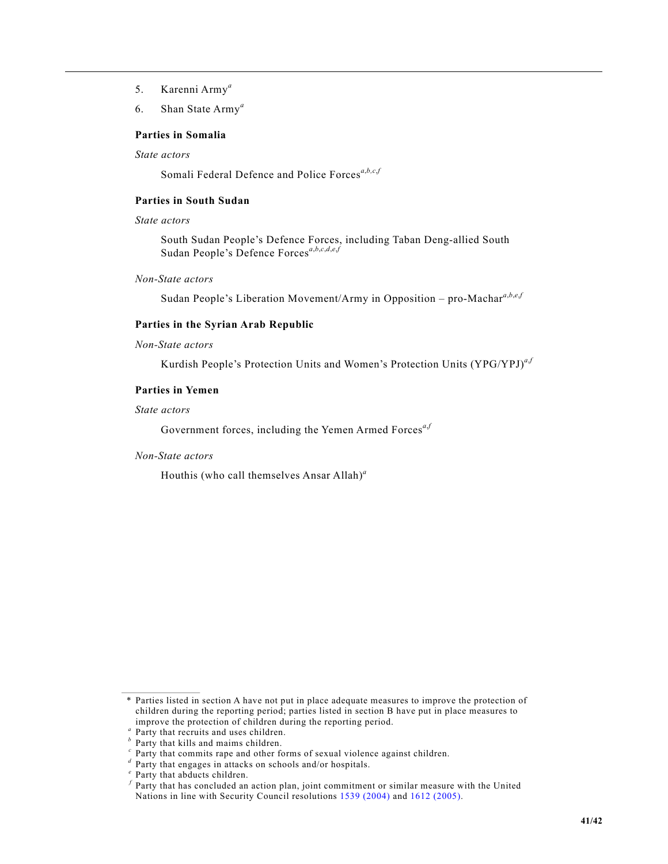- 5. Karenni Army*<sup>a</sup>*
- 6. Shan State Army*<sup>a</sup>*

#### **Parties in Somalia**

*State actors*

Somali Federal Defence and Police Forces<sup>a,*b*,*c*,*f*</sup>

# **Parties in South Sudan**

# *State actors*

South Sudan People's Defence Forces, including Taban Deng-allied South Sudan People's Defence Forces*<sup>a</sup>*,*b*,*c*,*d*,*e*,*<sup>f</sup>*

*Non-State actors*

Sudan People's Liberation Movement/Army in Opposition – pro-Machar*<sup>a</sup>*,*b*,*e*,*<sup>f</sup>*

#### **Parties in the Syrian Arab Republic**

#### *Non-State actors*

Kurdish People's Protection Units and Women's Protection Units (YPG/YPJ)<sup>a,*f*</sup>

# **Parties in Yemen**

# *State actors*

Government forces, including the Yemen Armed Forces<sup>a,*f*</sup>

# *Non-State actors*

Houthis (who call themselves Ansar Allah)*<sup>a</sup>*

<sup>\*</sup> Parties listed in section A have not put in place adequate measures to improve the protection of children during the reporting period; parties listed in section B have put in place measures to improve the protection of children during the reporting period.<br>
" Party that recruits and uses children.<br>
" Party that kills and maims children.<br>
" Party that commits rape and other forms of sexual violence against child

*<sup>f</sup>* Party that has concluded an action plan, joint commitment or similar measure with the United Nations in line with Security Council resolutions 1539 (2004) and 1612 (2005).